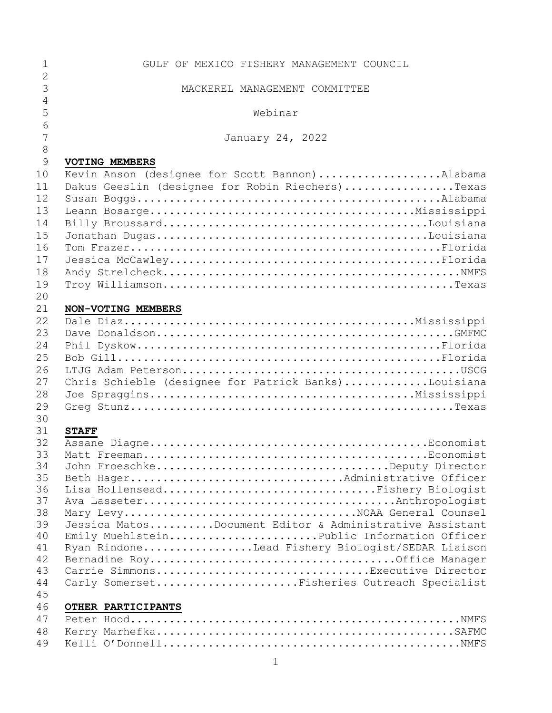| $\mathbf 1$    | GULF OF MEXICO FISHERY MANAGEMENT COUNCIL                            |
|----------------|----------------------------------------------------------------------|
| $\overline{2}$ |                                                                      |
| 3              | MACKEREL MANAGEMENT COMMITTEE                                        |
| 4              |                                                                      |
| 5              | Webinar                                                              |
| 6              |                                                                      |
| 7              | January 24, 2022                                                     |
| $8\,$          |                                                                      |
| 9              | <b>VOTING MEMBERS</b>                                                |
| 10             | Kevin Anson (designee for Scott Bannon)Alabama                       |
| 11             | Dakus Geeslin (designee for Robin Riechers)Texas                     |
| 12             |                                                                      |
| 13             |                                                                      |
| 14             |                                                                      |
| 15             |                                                                      |
| 16             |                                                                      |
| 17             |                                                                      |
| 18             |                                                                      |
| 19             |                                                                      |
| 20             |                                                                      |
| 21             | NON-VOTING MEMBERS                                                   |
| 22             |                                                                      |
| 23             |                                                                      |
| 24             |                                                                      |
| 25             |                                                                      |
| 26             |                                                                      |
| 27             | Chris Schieble (designee for Patrick Banks)Louisiana                 |
| 28             |                                                                      |
| 29             |                                                                      |
| 30             |                                                                      |
| 31             | <b>STAFF</b>                                                         |
| 32             |                                                                      |
| 33             |                                                                      |
| 34<br>35       |                                                                      |
| 36             | Beth HagerAdministrative Officer<br>Lisa HollenseadFishery Biologist |
| 37             |                                                                      |
| 38             |                                                                      |
| 39             | Jessica MatosDocument Editor & Administrative Assistant              |
| 40             | Emily MuehlsteinPublic Information Officer                           |
| 41             | Ryan RindoneLead Fishery Biologist/SEDAR Liaison                     |
| 42             |                                                                      |
| 43             | Carrie SimmonsExecutive Director                                     |
| 44             | Carly SomersetFisheries Outreach Specialist                          |
| 45             |                                                                      |
| 46             | OTHER PARTICIPANTS                                                   |
| 47             |                                                                      |
| 48             |                                                                      |
| 49             |                                                                      |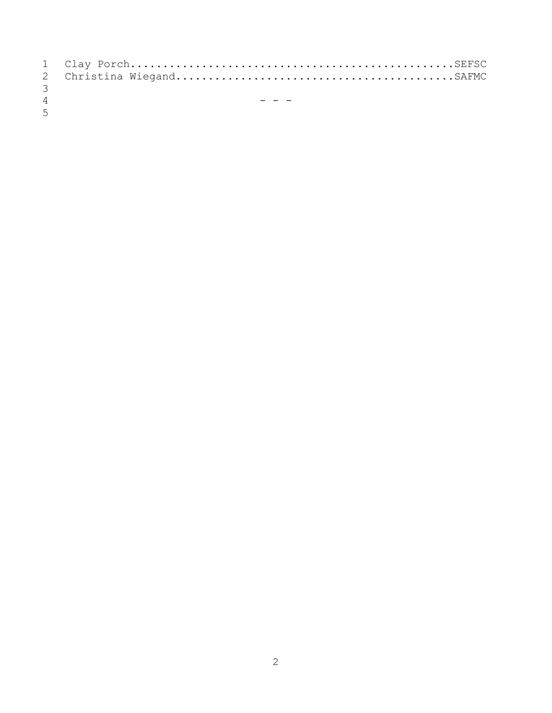| $\mathcal{S}$  |       |
|----------------|-------|
| $\overline{4}$ | $  -$ |

 $\overline{5}$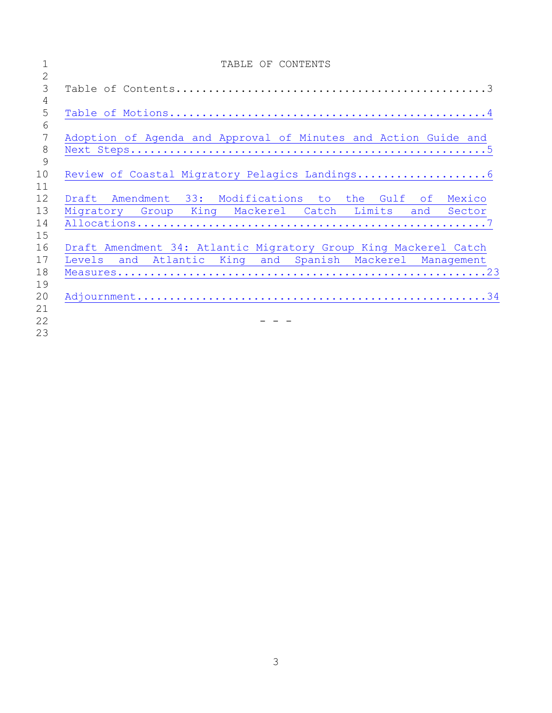|                 | TABLE OF CONTENTS                                                |
|-----------------|------------------------------------------------------------------|
| $\overline{2}$  |                                                                  |
| 3               |                                                                  |
| 4               |                                                                  |
| 5               |                                                                  |
| 6               |                                                                  |
| $7\phantom{.0}$ | Adoption of Agenda and Approval of Minutes and Action Guide and  |
| 8               |                                                                  |
| 9               |                                                                  |
| 10              |                                                                  |
| 11              |                                                                  |
| 12              | Draft Amendment 33: Modifications to the Gulf of Mexico          |
| 13              | Migratory Group King Mackerel Catch Limits and Sector            |
| 14              |                                                                  |
| 15              |                                                                  |
| 16              | Draft Amendment 34: Atlantic Migratory Group King Mackerel Catch |
| 17              | Levels and Atlantic King and Spanish Mackerel Management         |
| 18              |                                                                  |
| 19              |                                                                  |
| 20              |                                                                  |
| 21              |                                                                  |
| 22              |                                                                  |
| 23              |                                                                  |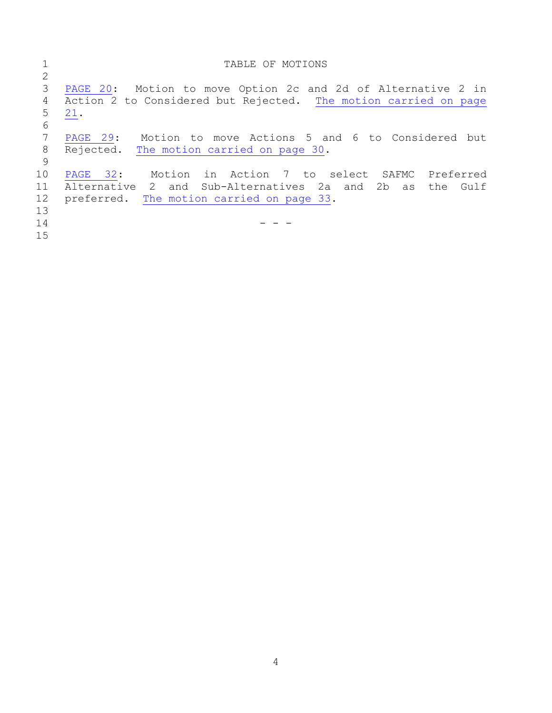<span id="page-3-0"></span>

|    | TABLE OF MOTIONS                                                |
|----|-----------------------------------------------------------------|
|    |                                                                 |
| 3  | PAGE 20: Motion to move Option 2c and 2d of Alternative 2 in    |
| 4  | Action 2 to Considered but Rejected. The motion carried on page |
| 5  | 21.                                                             |
| 6  |                                                                 |
| 7  | Motion to move Actions 5 and 6 to Considered but<br>PAGE 29:    |
| 8  | Rejected. The motion carried on page 30.                        |
| 9  |                                                                 |
| 10 | PAGE 32: Motion in Action 7 to select SAFMC Preferred           |
| 11 | Alternative 2 and Sub-Alternatives 2a and 2b as<br>Gulf<br>the  |
| 12 | preferred. The motion carried on page 33.                       |
| 13 |                                                                 |
| 14 |                                                                 |
| 15 |                                                                 |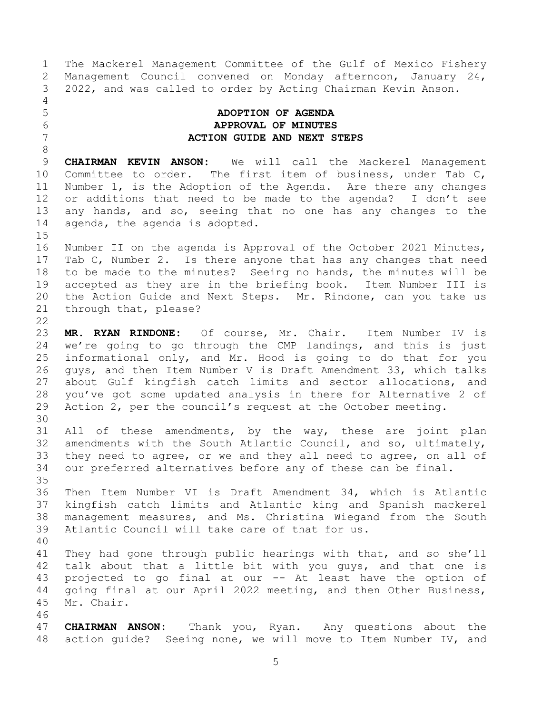1 The Mackerel Management Committee of the Gulf of Mexico Fishery<br>2 Management Council convened on Monday afternoon, January 24, 2 Management Council convened on Monday afternoon, January 24,<br>3 2022, and was called to order by Acting Chairman Kevin Anson. 3 2022, and was called to order by Acting Chairman Kevin Anson.

 $\frac{4}{5}$ 

8

## <span id="page-4-0"></span>5 **ADOPTION OF AGENDA** 6 **APPROVAL OF MINUTES** 7 **ACTION GUIDE AND NEXT STEPS**

9 **CHAIRMAN KEVIN ANSON:** We will call the Mackerel Management<br>10 Committee to order. The first item of business, under Tab C, 10 Committee to order. The first item of business, under Tab C,<br>11 Number 1, is the Adoption of the Agenda. Are there any changes 11 Number 1, is the Adoption of the Agenda. Are there any changes<br>12 or additions that need to be made to the agenda? I don't see 12 or additions that need to be made to the agenda? I don't see<br>13 any hands, and so, seeing that no one has any changes to the 13 any hands, and so, seeing that no one has any changes to the 14 agenda, the agenda is adopted. agenda, the agenda is adopted.

 $\frac{15}{16}$ Number II on the agenda is Approval of the October 2021 Minutes, 17 Tab C, Number 2. Is there anyone that has any changes that need<br>18 to be made to the minutes? Seeing no hands, the minutes will be 18 to be made to the minutes? Seeing no hands, the minutes will be<br>19 accepted as they are in the briefing book. Item Number III is 19 accepted as they are in the briefing book.<br>20 the Action Guide and Next Steps. Mr. Rindo 20 the Action Guide and Next Steps. Mr. Rindone, can you take us<br>21 through that, please? through that, please?

 $\frac{22}{23}$ 23 **MR. RYAN RINDONE:** Of course, Mr. Chair. Item Number IV is<br>24 we're going to go through the CMP landings, and this is just 24 we're going to go through the CMP landings, and this is just<br>25 informational only, and Mr. Hood is going to do that for you 25 informational only, and Mr. Hood is going to do that for you<br>26 quys, and then Item Number V is Draft Amendment 33, which talks 26 guys, and then Item Number V is Draft Amendment 33, which talks<br>27 about Gulf kingfish catch limits and sector allocations, and 27 about Gulf kingfish catch limits and sector allocations, and<br>28 you've got some updated analysis in there for Alternative 2 of 28 you've got some updated analysis in there for Alternative 2 of<br>29 Action 2, per the council's request at the October meeting. Action 2, per the council's request at the October meeting.

30<br>31 All of these amendments, by the way, these are joint plan 32 amendments with the South Atlantic Council, and so, ultimately,<br>33 they need to agree, or we and they all need to agree, on all of 33 they need to agree, or we and they all need to agree, on all of 34 our preferred alternatives before any of these can be final. our preferred alternatives before any of these can be final.

35<br>36 36 Then Item Number VI is Draft Amendment 34, which is Atlantic<br>37 kingfish catch limits and Atlantic king and Spanish mackerel 37 kingfish catch limits and Atlantic king and Spanish mackerel<br>38 management measures, and Ms. Christina Wiegand from the South 38 management measures, and Ms. Christina Wiegand from the South<br>39 Atlantic Council will take care of that for us. Atlantic Council will take care of that for us.

40

41 They had gone through public hearings with that, and so she'll<br>42 talk about that a little bit with you guvs, and that one is 42 talk about that a little bit with you guys, and that one is<br>43 projected to go final at our -- At least have the option of 43 projected to go final at our -- At least have the option of<br>44 qoing final at our April 2022 meeting, and then Other Business, 44 going final at our April 2022 meeting, and then Other Business,<br>45 Mr. Chair. Mr. Chair.

46<br>47

**CHAIRMAN ANSON:** Thank you, Ryan. Any questions about the 48 action guide? Seeing none, we will move to Item Number IV, and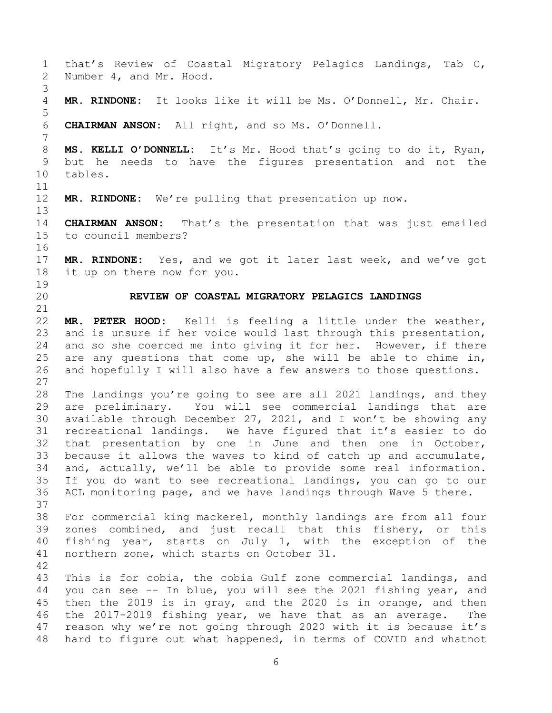<span id="page-5-0"></span>1 that's Review of Coastal Migratory Pelagics Landings, Tab C,<br>2 Number 4, and Mr. Hood. Number 4, and Mr. Hood. 3 MR. RINDONE: It looks like it will be Ms. O'Donnell, Mr. Chair. 5 6 **CHAIRMAN ANSON:** All right, and so Ms. O'Donnell. 7 8 **MS. KELLI O'DONNELL:** It's Mr. Hood that's going to do it, Ryan, 9 but he needs to have the figures presentation and not the 10 tables. tables. 11<br>12 MR. RINDONE: We're pulling that presentation up now.  $13$ <br> $14$ 14 **CHAIRMAN ANSON:** That's the presentation that was just emailed<br>15 to council members? to council members? 16 17 **MR. RINDONE:** Yes, and we got it later last week, and we've got it up on there now for you. 19<br>20 20 **REVIEW OF COASTAL MIGRATORY PELAGICS LANDINGS** 21<br>22 22 **MR. PETER HOOD:** Kelli is feeling a little under the weather,<br>23 and is unsure if her voice would last through this presentation, 23 and is unsure if her voice would last through this presentation,<br>24 and so she coerced me into giving it for her. However, if there 24 and so she coerced me into giving it for her. However, if there<br>25 are any questions that come up, she will be able to chime in, 25 are any questions that come up, she will be able to chime in,<br>26 and hopefully I will also have a few answers to those questions. and hopefully I will also have a few answers to those questions.  $\frac{27}{28}$ 28 The landings you're going to see are all 2021 landings, and they<br>29 are preliminary. You will see commercial landings that are 29 are preliminary. You will see commercial landings that are<br>30 available through December 27, 2021, and I won't be showing any 30 available through December 27, 2021, and I won't be showing any<br>31 recreational landings. We have figured that it's easier to do recreational landings. We have figured that it's easier to do 32 that presentation by one in June and then one in October,<br>33 because it allows the waves to kind of catch up and accumulate, 33 because it allows the waves to kind of catch up and accumulate,<br>34 and, actually, we'll be able to provide some real information. 34 and, actually, we'll be able to provide some real information.<br>35 If you do want to see recreational landings, you can go to our 35 If you do want to see recreational landings, you can go to our<br>36 ACL monitoring page, and we have landings through Wave 5 there. ACL monitoring page, and we have landings through Wave 5 there. 37<br>38 38 For commercial king mackerel, monthly landings are from all four<br>39 zones combined, and just recall that this fishery, or this zones combined, and just recall that this fishery, or this 40 fishing year, starts on July 1, with the exception of the 41 northern zone, which starts on October 31. 42 43 This is for cobia, the cobia Gulf zone commercial landings, and<br>44 you can see -- In blue, you will see the 2021 fishing year, and 44 you can see -- In blue, you will see the 2021 fishing year, and<br>45 then the 2019 is in gray, and the 2020 is in orange, and then 45 then the 2019 is in gray, and the 2020 is in orange, and then<br>46 the 2017-2019 fishing year, we have that as an average. The 46 the 2017-2019 fishing year, we have that as an average. The<br>47 reason why we're not going through 2020 with it is because it's reason why we're not going through 2020 with it is because it's 48 hard to figure out what happened, in terms of COVID and whatnot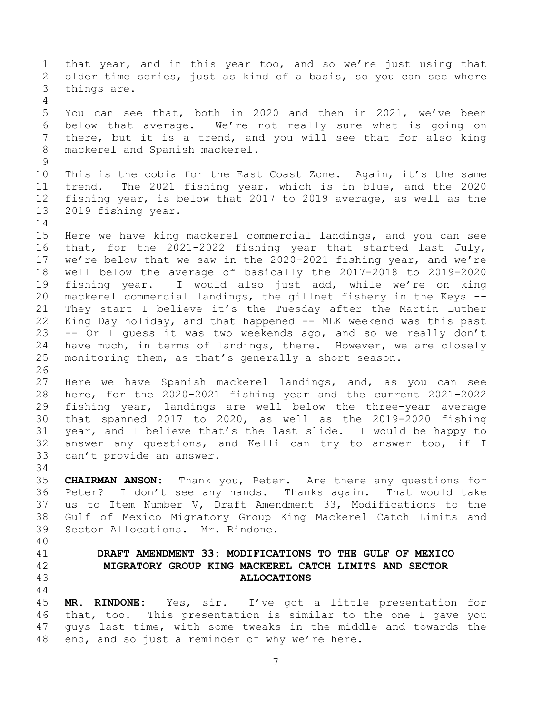<span id="page-6-0"></span>1 that year, and in this year too, and so we're just using that<br>2 older time series, just as kind of a basis, so you can see where 2 older time series, just as kind of a basis, so you can see where<br>3 things are. things are.  $\frac{4}{5}$ 5 You can see that, both in 2020 and then in 2021, we've been<br>6 below that average. We're not really sure what is going on 6 below that average. We're not really sure what is going on<br>7 there, but it is a trend, and you will see that for also king there, but it is a trend, and you will see that for also king 8 mackerel and Spanish mackerel.  $\begin{array}{c} 9 \\ 10 \end{array}$ 10 This is the cobia for the East Coast Zone. Again, it's the same<br>11 trend. The 2021 fishing year, which is in blue, and the 2020 11 trend. The 2021 fishing year, which is in blue, and the 2020<br>12 fishing year, is below that 2017 to 2019 average, as well as the 12 fishing year, is below that 2017 to 2019 average, as well as the 13 2019 fishing year. 2019 fishing year.  $\frac{14}{15}$ 15 Here we have king mackerel commercial landings, and you can see<br>16 that, for the 2021-2022 fishing year that started last July, that, for the 2021-2022 fishing year that started last July, 17 we're below that we saw in the 2020-2021 fishing year, and we're<br>18 well below the average of basically the 2017-2018 to 2019-2020 18 well below the average of basically the 2017-2018 to 2019-2020<br>19 fishing vear. I would also just add, while we're on king 19 fishing year. I would also just add, while we're on king<br>20 mackerel commercial landings, the gillnet fishery in the Keys --20 mackerel commercial landings, the gillnet fishery in the Keys --<br>21 Thev start I believe it's the Tuesdav after the Martin Luther 21 They start I believe it's the Tuesday after the Martin Luther<br>22 King Day holiday, and that happened -- MLK weekend was this past 22 King Day holiday, and that happened -- MLK weekend was this past<br>23 -- Or I quess it was two weekends ago, and so we really don't 23 -- Or I guess it was two weekends ago, and so we really don't<br>24 have much, in terms of landings, there. However, we are closely 24 have much, in terms of landings, there. However, we are closely<br>25 monitoring them, as that's generally a short season. monitoring them, as that's generally a short season. 26<br>27 27 Here we have Spanish mackerel landings, and, as you can see<br>28 here, for the 2020-2021 fishing year and the current 2021-2022 28 here, for the 2020-2021 fishing year and the current 2021-2022<br>29 fishing year, landings are well below the three-year average 29 fishing year, landings are well below the three-year average<br>30 that spanned 2017 to 2020, as well as the 2019-2020 fishing 30 that spanned 2017 to 2020, as well as the 2019-2020 fishing<br>31 year, and I believe that's the last slide. I would be happy to year, and I believe that's the last slide. I would be happy to 32 answer any questions, and Kelli can try to answer too, if I<br>33 can't provide an answer. can't provide an answer. 34<br>35 35 **CHAIRMAN ANSON:** Thank you, Peter. Are there any questions for 36 Peter? I don't see any hands. Thanks again. That would take<br>37 us to Item Number V, Draft Amendment 33, Modifications to the 37 us to Item Number V, Draft Amendment 33, Modifications to the<br>38 Gulf of Mexico Migratory Group King Mackerel Catch Limits and 38 Gulf of Mexico Migratory Group King Mackerel Catch Limits and<br>39 Sector Allocations. Mr. Rindone. Sector Allocations. Mr. Rindone. 40 41 **DRAFT AMENDMENT 33: MODIFICATIONS TO THE GULF OF MEXICO**  42 **MIGRATORY GROUP KING MACKEREL CATCH LIMITS AND SECTOR**  43 **ALLOCATIONS**  $\begin{array}{c} 44 \\ 45 \end{array}$ 45 **MR. RINDONE:** Yes, sir. I've got a little presentation for<br>46 that, too. This presentation is similar to the one I gave you 46 that, too. This presentation is similar to the one I gave you<br>47 quys last time, with some tweaks in the middle and towards the quys last time, with some tweaks in the middle and towards the 48 end, and so just a reminder of why we're here.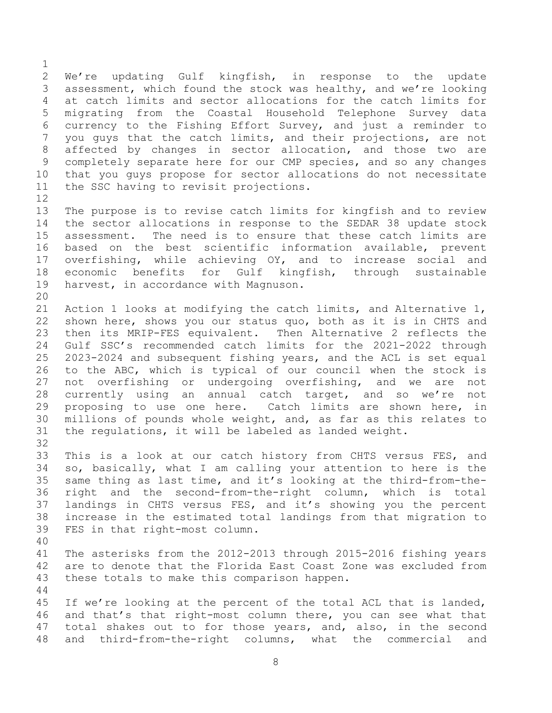$\frac{1}{2}$ 2 We're updating Gulf kingfish, in response to the update<br>3 assessment, which found the stock was healthy, and we're looking 3 assessment, which found the stock was healthy, and we're looking<br>4 at catch limits and sector allocations for the catch limits for 4 at catch limits and sector allocations for the catch limits for<br>5 migrating from the Coastal Household Telephone Survey data 5 migrating from the Coastal Household Telephone Survey data 6 currency to the Fishing Effort Survey, and just a reminder to<br>7 you guys that the catch limits, and their projections, are not you guys that the catch limits, and their projections, are not 8 affected by changes in sector allocation, and those two are 9 completely separate here for our CMP species, and so any changes<br>10 that you quys propose for sector allocations do not necessitate 10 that you guys propose for sector allocations do not necessitate<br>11 the SSC having to revisit projections. the SSC having to revisit projections.

 $\begin{array}{c} 12 \\ 13 \end{array}$ 13 The purpose is to revise catch limits for kingfish and to review<br>14 the sector allocations in response to the SEDAR 38 update stock 14 the sector allocations in response to the SEDAR 38 update stock<br>15 assessment. The need is to ensure that these catch limits are 15 assessment. The need is to ensure that these catch limits are<br>16 based on the best scientific information available, prevent based on the best scientific information available, prevent 17 overfishing, while achieving OY, and to increase social and<br>18 economic benefits for Gulf kingfish, through sustainable 18 economic benefits for Gulf kingfish, through sustainable<br>19 harvest, in accordance-with-Magnuson. harvest, in accordance with Magnuson.

20<br>21 21 Action 1 looks at modifying the catch limits, and Alternative 1,<br>22 shown here, shows you our status quo, both as it is in CHTS and 22 shown here, shows you our status quo, both as it is in CHTS and<br>23 then its MRIP-FES equivalent. Then Alternative 2 reflects the 23 then its MRIP-FES equivalent. Then Alternative 2 reflects the<br>24 Gulf SSC's recommended catch limits for the 2021-2022 through 24 Gulf SSC's recommended catch limits for the 2021-2022 through<br>25 2023-2024 and subsequent fishing years, and the ACL is set equal 25 2023-2024 and subsequent fishing years, and the ACL is set equal<br>26 to the ABC, which is typical of our council when the stock is 26 to the ABC, which is typical of our council when the stock is<br>27 not overfishing or undergoing overfishing, and we are not 27 not overfishing or undergoing overfishing, and we are not<br>28 currently using an annual catch target, and so we're not 28 currently using an annual catch target, and so we're not<br>29 proposing to use one here. Catch limits are shown here, in 29 proposing to use one here. Catch limits are shown here, in<br>30 millions of pounds whole weight, and, as far as this relates to 30 millions of pounds whole weight, and, as far as this relates to<br>31 the requlations, it will be labeled as landed weight. the regulations, it will be labeled as landed weight.

32<br>33 33 This is a look at our catch history from CHTS versus FES, and<br>34 so, basically, what I am calling your attention to here is the 34 so, basically, what I am calling your attention to here is the<br>35 same thing as last time, and it's looking at the third-from-the-35 same thing as last time, and it's looking at the third-from-the-<br>36 right and the second-from-the-right column, which is total 36 right and the second-from-the-right column, which is total<br>37 landings in CHTS versus FES, and it's showing you the percent 37 landings in CHTS versus FES, and it's showing you the percent<br>38 increase in the estimated total landings from that migration to 38 increase in the estimated total landings from that migration to<br>39 FES in that right-most column. FES in that right-most column.

40

41 The asterisks from the 2012-2013 through 2015-2016 fishing years 42 are to denote that the Florida East Coast Zone was excluded from<br>43 these totals to make this comparison happen. these totals to make this comparison happen.

 $\begin{array}{c} 44 \\ 45 \end{array}$ 45 If we're looking at the percent of the total ACL that is landed,<br>46 and that's that right-most column there, you can see what that 46 and that's that right-most column there, you can see what that<br>47 total shakes out to for those years, and, also, in the second total shakes out to for those years, and, also, in the second 48 and third-from-the-right columns, what the commercial and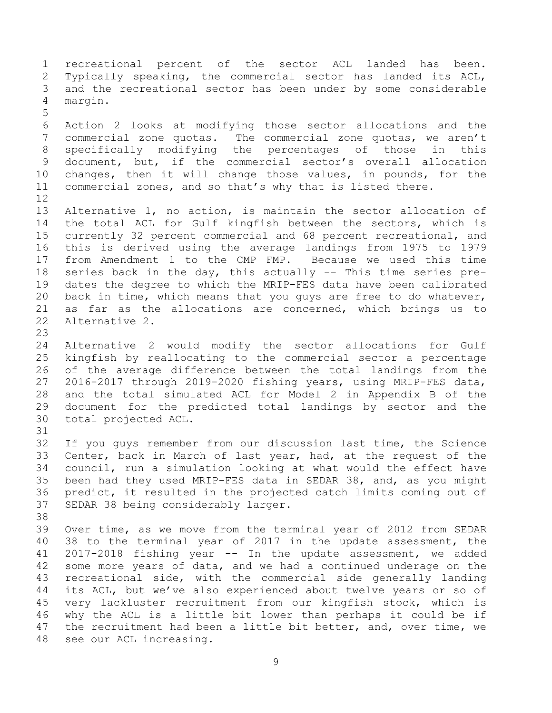1 recreational percent of the sector ACL landed has been.<br>2 Typically speaking, the commercial sector has landed its ACL, 2 Typically speaking, the commercial sector has landed its ACL,<br>3 and the recreational sector has been under by some considerable 3 and the recreational sector has been under by some considerable<br>4 margin. marqin. 5 6 Action 2 looks at modifying those sector allocations and the<br>7 commercial zone quotas. The commercial zone quotas, we aren't commercial zone quotas. The commercial zone quotas, we aren't 8 specifically modifying the percentages of those in this 9 document, but, if the commercial sector's overall allocation<br>10 changes, then it will change those values, in pounds, for the 10 changes, then it will change those values, in pounds, for the<br>11 commercial zones, and so that's why that is listed there. commercial zones, and so that's why that is listed there. 12<br>13 13 Alternative 1, no action, is maintain the sector allocation of<br>14 the total ACL for Gulf kingfish between the sectors, which is 14 the total ACL for Gulf kingfish between the sectors, which is<br>15 currently 32 percent commercial and 68 percent recreational, and 15 currently 32 percent commercial and 68 percent recreational, and<br>16 this is derived using the average landings from 1975 to 1979 this is derived using the average landings from 1975 to 1979 17 from Amendment 1 to the CMP FMP. Because we used this time<br>18 series back in the day, this actually -- This time series pre-18 series back in the day, this actually -- This time series pre-<br>19 dates the degree to which the MRIP-FES data have been calibrated 19 dates the degree to which the MRIP-FES data have been calibrated<br>20 back in time, which means that you quys are free to do whatever, 20 back in time, which means that you guys are free to do whatever,<br>21 as far as the allocations are concerned, which brings us to 21 as far as the allocations are concerned, which brings us to 22 Alternative 2. Alternative 2. 23 24 Alternative 2 would modify the sector allocations for Gulf<br>25 kingfish by reallocating to the commercial sector a percentage 25 kingfish by reallocating to the commercial sector a percentage<br>26 of the average difference between the total landings from the 26 of the average difference between the total landings from the<br>27 2016-2017 through 2019-2020 fishing years, using MRIP-FES data, 27 2016-2017 through 2019-2020 fishing years, using MRIP-FES data,<br>28 and the total simulated ACL for Model 2 in Appendix B of the 28 and the total simulated ACL for Model 2 in Appendix B of the<br>29 document for the predicted total landings by sector and the 29 document for the predicted total landings by sector and the 30 total projected ACL. total projected ACL. 31<br>32 32 If you guys remember from our discussion last time, the Science<br>33 Center, back in March of last year, had, at the request of the 33 Center, back in March of last year, had, at the request of the<br>34 council, run a simulation looking at what would the effect have 34 council, run a simulation looking at what would the effect have<br>35 been had they used MRIP-FES data in SEDAR 38, and, as you might 35 been had they used MRIP-FES data in SEDAR 38, and, as you might<br>36 predict, it resulted in the projected catch limits coming out of 36 predict, it resulted in the projected catch limits coming out of<br>37 SEDAR 38 being considerably larger. SEDAR 38 being considerably larger. 38<br>39 Over time, as we move from the terminal year of 2012 from SEDAR 40 38 to the terminal year of 2017 in the update assessment, the 41 2017-2018 fishing year -- In the update assessment, we added<br>42 some more vears of data, and we had a continued underage on the 42 some more years of data, and we had a continued underage on the<br>43 recreational side, with the commercial side generally landing 43 recreational side, with the commercial side generally landing<br>44 its ACL, but we've also experienced about twelve years or so of 44 its ACL, but we've also experienced about twelve years or so of<br>45 very lackluster recruitment from our kingfish stock, which is 45 very lackluster recruitment from our kingfish stock, which is<br>46 why the ACL is a little bit lower than perhaps it could be if 46 why the ACL is a little bit lower than perhaps it could be if<br>47 the recruitment had been a little bit better, and, over time, we the recruitment had been a little bit better, and, over time, we 48 see our ACL increasing.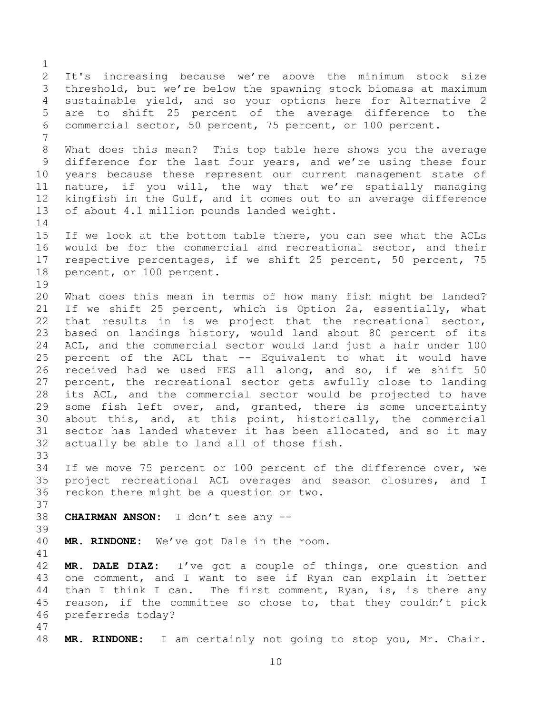$\frac{1}{2}$ 2 It's increasing because we're above the minimum stock size<br>3 threshold, but we're below the spawning stock biomass at maximum 3 threshold, but we're below the spawning stock biomass at maximum<br>4 sustainable vield, and so vour options here for Alternative 2 4 sustainable yield, and so your options here for Alternative 2<br>5 are to shift 25 percent of the average difference to the 5 are to shift 25 percent of the average difference to the<br>6 commercial sector, 50 percent, 75 percent, or 100 percent. commercial sector, 50 percent, 75 percent, or 100 percent. 7 8 What does this mean? This top table here shows you the average 9 difference for the last four years, and we're using these four<br>10 years because these represent our current management state of 10 years because these represent our current management state of<br>11 nature, if you will, the way that we're spatially managing 11 nature, if you will, the way that we're spatially managing<br>12 kingfish in the Gulf, and it comes out to an average difference 12 kingfish in the Gulf, and it comes out to an average difference<br>13 of about 4.1 million pounds landed weight. of about 4.1 million pounds landed weight.  $\frac{14}{15}$ 15 If we look at the bottom table there, you can see what the ACLs<br>16 would be for the commercial and recreational sector, and their would be for the commercial and recreational sector, and their 17 respective percentages, if we shift 25 percent, 50 percent, 75<br>18 percent, or 100 percent. percent, or 100 percent. 19<br>20 20 What does this mean in terms of how many fish might be landed?<br>21 If we shift 25 percent, which is Option 2a, essentially, what 21 If we shift 25 percent, which is Option 2a, essentially, what<br>22 that results in is we project that the recreational sector, 22 that results in is we project that the recreational sector,<br>23 based on landings history, would land about 80 percent of its 23 based on landings history, would land about 80 percent of its<br>24 ACL, and the commercial sector would land just a hair under 100 24 ACL, and the commercial sector would land just a hair under 100<br>25 percent of the ACL that -- Equivalent to what it would have 25 percent of the ACL that -- Equivalent to what it would have<br>26 received had we used FES all along, and so, if we shift 50 26 received had we used FES all along, and so, if we shift 50<br>27 percent, the recreational sector gets awfully close to landing 27 percent, the recreational sector gets awfully close to landing<br>28 its ACL, and the commercial sector would be projected to have 28 its ACL, and the commercial sector would be projected to have<br>29 some fish left over, and, granted, there is some uncertainty 29 some fish left over, and, granted, there is some uncertainty<br>30 about this, and, at this point, historically, the commercial 30 about this, and, at this point, historically, the commercial<br>31 sector has landed whatever it has been allocated, and so it may sector has landed whatever it has been allocated, and so it may 32 actually be able to land all of those fish. 33<br>34 34 If we move 75 percent or 100 percent of the difference over, we<br>35 project recreational ACL overages and season closures, and I 35 project recreational ACL overages and season closures, and I<br>36 reckon there might be a question or two. reckon there might be a question or two. 37<br>38 38 **CHAIRMAN ANSON:** I don't see any -- 39 40 **MR. RINDONE:** We've got Dale in the room. 41<br>42 42 **MR. DALE DIAZ:** I've got a couple of things, one question and<br>43 one comment, and I want to see if Rvan can explain it better 43 one comment, and I want to see if Ryan can explain it better<br>44 than I think I can. The first comment, Ryan, is, is there any 44 than I think I can. The first comment, Ryan, is, is there any<br>45 reason, if the committee so chose to, that they couldn't pick 45 reason, if the committee so chose to, that they couldn't pick<br>46 preferreds todav? preferreds today? 47 48 **MR. RINDONE:** I am certainly not going to stop you, Mr. Chair.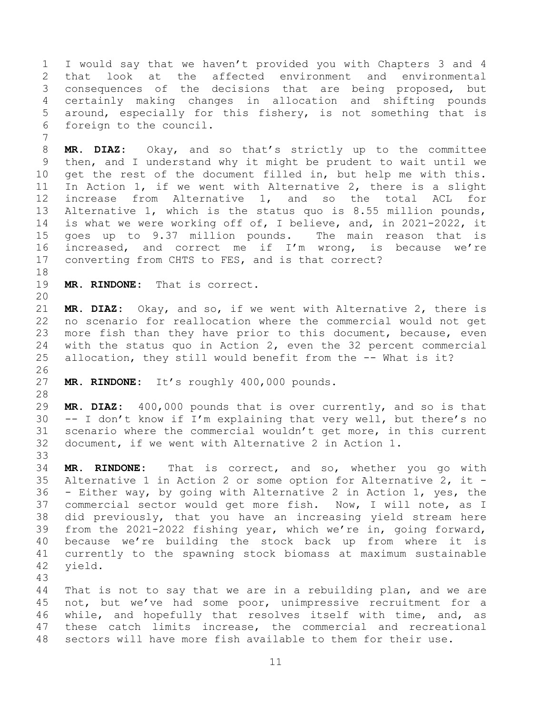1 I would say that we haven't provided you with Chapters 3 and 4 2 that look at the affected environment<br>3 consequences of the decisions that are b 3 consequences of the decisions that are being proposed, but<br>4 certainly making changes in allocation and shifting pounds 4 certainly making changes in allocation and shifting pounds<br>5 around, especially for this fishery, is not something that is 5 around, especially for this fishery, is not something that is<br>6 foreign to the council. foreign to the council.

8 **MR. DIAZ:** Okay, and so that's strictly up to the committee 9 then, and I understand why it might be prudent to wait until we<br>10 qet the rest of the document filled in, but help me with this. 10 get the rest of the document filled in, but help me with this.<br>11 In Action 1, if we went with Alternative 2, there is a slight 11 In Action 1, if we went with Alternative 2, there is a slight<br>12 increase from Alternative 1, and so the total ACL for 12 increase from Alternative 1, and so the total<br>13 Alternative 1, which is the status quo is 8.55 millio 13 Alternative 1, which is the status quo is 8.55 million pounds,<br>14 is what we were working off of, I believe, and, in 2021-2022, it 14 is what we were working off of, I believe, and, in 2021-2022, it<br>15 goes up to 9.37 million pounds. The main reason that is 15 goes up to 9.37 million pounds. The main reason that is<br>16 increased, and correct me if I'm wrong, is because we're increased, and correct me if I'm wrong, is because we're 17 converting from CHTS to FES, and is that correct?

18<br>19

7

MR. RINDONE: That is correct.

20<br>21 21 **MR. DIAZ:** Okay, and so, if we went with Alternative 2, there is 22 no scenario for reallocation where the commercial would not get<br>23 more fish than they have prior to this document, because, even 23 more fish than they have prior to this document, because, even<br>24 with the status quo in Action 2, even the 32 percent commercial 24 with the status quo in Action 2, even the 32 percent commercial<br>25 allocation, they still would benefit from the -- What is it? allocation, they still would benefit from the -- What is it?

26<br>27 MR. RINDONE: It's roughly 400,000 pounds.

28<br>29 29 **MR. DIAZ:** 400,000 pounds that is over currently, and so is that  $30$  -- I don't know if I'm explaining that very well, but there's no<br>31 scenario where the commercial wouldn't get more, in this current scenario where the commercial wouldn't get more, in this current 32 document, if we went with Alternative 2 in Action 1.

33<br>34 34 **MR. RINDONE:** That is correct, and so, whether you go with 35 Alternative 1 in Action 2 or some option for Alternative 2, it  $-$  36  $-$  Either way, by going with Alternative 2 in Action 1, yes, the 36 - Either way, by going with Alternative 2 in Action 1, yes, the 37 commercial sector would get more fish. Now, I will note, as I<br>38 did previously, that you have an increasing yield stream here 38 did previously, that you have an increasing yield stream here<br>39 from the 2021-2022 fishing year, which we're in, going forward, from the 2021-2022 fishing year, which we're in, going forward, 40 because we're building the stock back up from where it is 41 currently to the spawning stock biomass at maximum sustainable<br>42 vield. yield.

43 44 That is not to say that we are in a rebuilding plan, and we are<br>45 not, but we've had some poor, unimpressive recruitment for a 45 not, but we've had some poor, unimpressive recruitment for a<br>46 while, and hopefully that resolves itself with time, and, as 46 while, and hopefully that resolves itself with time, and, as<br>47 these catch limits increase, the commercial and recreational these catch limits increase, the commercial and recreational 48 sectors will have more fish available to them for their use.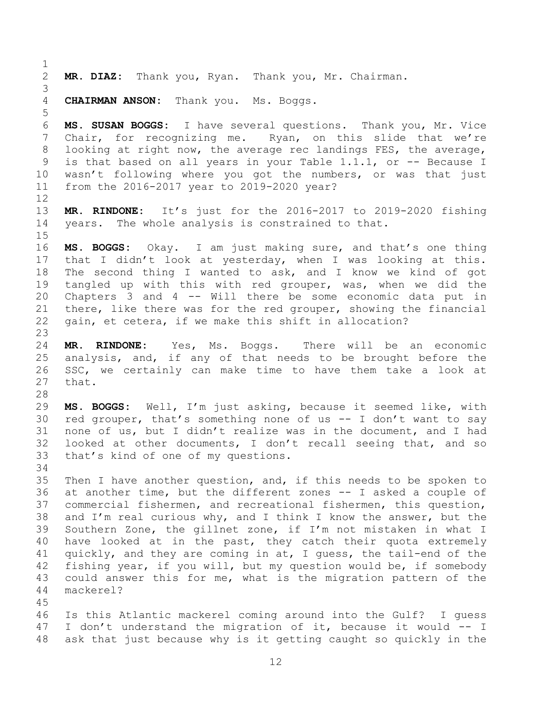$\frac{1}{2}$ MR. DIAZ: Thank you, Ryan. Thank you, Mr. Chairman. 3 **CHAIRMAN ANSON:** Thank you. Ms. Boggs. 5 6 **MS. SUSAN BOGGS:** I have several questions. Thank you, Mr. Vice Ryan, on this slide that we're 8 looking at right now, the average rec landings FES, the average, 9 is that based on all years in your Table 1.1.1, or -- Because I<br>10 wasn't following where you got the numbers, or was that just 10 wasn't following where you got the numbers, or was that just<br>11 from the 2016-2017 year to 2019-2020 year? from the 2016-2017 year to 2019-2020 year?  $\begin{array}{c} 12 \\ 13 \end{array}$ 13 **MR. RINDONE:** It's just for the 2016-2017 to 2019-2020 fishing<br>14 vears. The whole analysis is constrained to that. years. The whole analysis is constrained to that.  $15$ <br> $16$ MS. BOGGS: Okay. I am just making sure, and that's one thing 17 that I didn't look at yesterday, when I was looking at this.<br>18 The second thing I wanted to ask, and I know we kind of got 18 The second thing I wanted to ask, and I know we kind of got<br>19 tangled up with this with red grouper, was, when we did the 19 tangled up with this with red grouper, was, when we did the<br>20 Chapters 3 and 4 -- Will there be some economic data put in 20 Chapters 3 and 4 -- Will there be some economic data put in<br>21 there, like there was for the red grouper, showing the financial 21 there, like there was for the red grouper, showing the financial<br>22 quain, et cetera, if we make this shift in allocation? gain, et cetera, if we make this shift in allocation?  $\frac{23}{24}$ 24 **MR. RINDONE:** Yes, Ms. Boggs. There will be an economic 25 analysis, and, if any of that needs to be brought before the<br>26 SSC, we certainly can make time to have them take a look at 26 SSC, we certainly can make time to have them take a look at 27 that. that. 28<br>29 29 **MS. BOGGS:** Well, I'm just asking, because it seemed like, with 30 red grouper, that's something none of us -- I don't want to say<br>31 none of us, but I didn't realize was in the document, and I had none of us, but I didn't realize was in the document, and I had 32 looked at other documents, I don't recall seeing that, and so<br>33 that's kind of one of my questions. that's kind of one of my questions. 34<br>35 35 Then I have another question, and, if this needs to be spoken to<br>36 at another time, but the different zones -- I asked a couple of 36 at another time, but the different zones -- I asked a couple of<br>37 commercial fishermen, and recreational fishermen, this question, 37 commercial fishermen, and recreational fishermen, this question,<br>38 and I'm real curious why, and I think I know the answer, but the 38 and I'm real curious why, and I think I know the answer, but the 39 Southern Zone, the gillnet zone, if I'm not mistaken in what I Southern Zone, the gillnet zone, if  $I'm$  not mistaken in what  $I$ 40 have looked at in the past, they catch their quota extremely 41 quickly, and they are coming in at, I guess, the tail-end of the<br>42 fishing vear, if vou will, but my question would be, if somebody 42 fishing year, if you will, but my question would be, if somebody<br>43 could answer this for me, what is the migration pattern of the 43 could answer this for me, what is the migration pattern of the 44 mackerel? mackerel? 45 46 Is this Atlantic mackerel coming around into the Gulf? I guess<br>47 I don't understand the migration of it, because it would -- I I don't understand the migration of it, because it would -- I 48 ask that just because why is it getting caught so quickly in the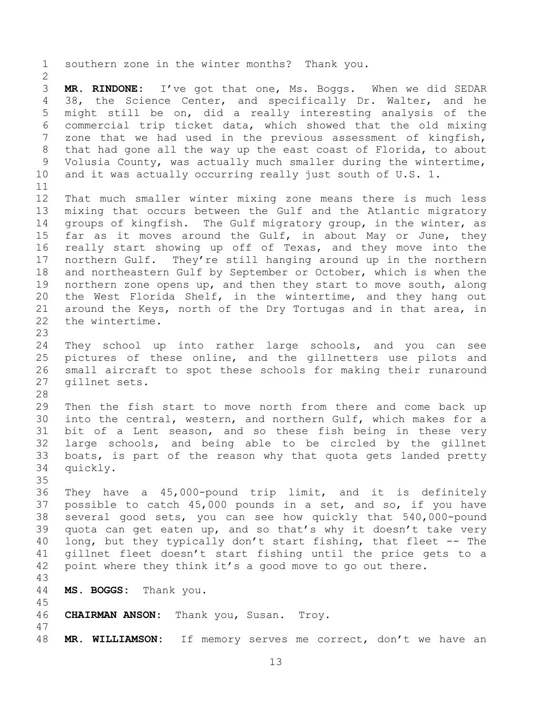1 southern zone in the winter months? Thank you.  $\frac{2}{3}$ 3 **MR. RINDONE:** I've got that one, Ms. Boggs. When we did SEDAR 4 38, the Science Center, and specifically Dr. Walter, and he<br>5 might still be on, did a really interesting analysis of the 5 might still be on, did a really interesting analysis of the<br>6 commercial trip ticket data, which showed that the old mixing 6 commercial trip ticket data, which showed that the old mixing<br>7 zone that we had used in the previous assessment of kingfish. zone that we had used in the previous assessment of kingfish, 8 that had gone all the way up the east coast of Florida, to about 9 Volusia County, was actually much smaller during the wintertime,<br>10 and it was actually occurring really just south of U.S. 1. and it was actually occurring really just south of U.S.  $1$ . 11<br>12 12 That much smaller winter mixing zone means there is much less<br>13 mixing that occurs between the Gulf and the Atlantic migratory 13 mixing that occurs between the Gulf and the Atlantic migratory<br>14 qroups of kingfish. The Gulf migratory group, in the winter, as 14 groups of kingfish. The Gulf migratory group, in the winter, as<br>15 far as it moves around the Gulf, in about May or June, they 15 far as it moves around the Gulf, in about May or June, they<br>16 really start showing up off of Texas, and they move into the really start showing up off of Texas, and they move into the 17 northern Gulf. They're still hanging around up in the northern<br>18 and northeastern Gulf by September or October, which is when the 18 and northeastern Gulf by September or October, which is when the<br>19 northern zone opens up, and then thev start to move south, along 19 northern zone opens up, and then they start to move south, along<br>20 the West Florida Shelf, in the wintertime, and they hang out 20 the West Florida Shelf, in the wintertime, and they hang out<br>21 around the Kevs, north of the Drv Tortugas and in that area, in 21 around the Keys, north of the Dry Tortugas and in that area, in<br>22 the wintertime. the wintertime. 23 24 They school up into rather large schools, and you can see<br>25 pictures of these online, and the gillnetters use pilots and 25 pictures of these online, and the gillnetters use pilots and<br>26 small aircraft to spot these schools for making their runaround 26 small aircraft to spot these schools for making their runaround<br>27 qillnet sets. gillnet sets. 28<br>29 29 Then the fish start to move north from there and come back up<br>30 into the central, western, and northern Gulf, which makes for a 30 into the central, western, and northern Gulf, which makes for a<br>31 bit of a Lent season, and so these fish being in these very bit of a Lent season, and so these fish being in these very 32 large schools, and being able to be circled by the gillnet<br>33 boats, is part of the reason why that quota gets landed pretty 33 boats, is part of the reason why that quota gets landed pretty<br>34 quickly. quickly. 35<br>36 36 They have a 45,000-pound trip limit, and it is definitely<br>37 possible to catch 45,000 pounds in a set, and so, if you have 37 possible to catch 45,000 pounds in a set, and so, if you have<br>38 several good sets, you can see how quickly that 540,000-pound 38 several good sets, you can see how quickly that 540,000-pound<br>39 quota can get eaten up, and so that's why it doesn't take very quota can get eaten up, and so that's why it doesn't take very 40 long, but they typically don't start fishing, that fleet -- The 41 gillnet fleet doesn't start fishing until the price gets to a<br>42 point where they think it's a good move to go out there. point where they think it's a good move to go out there. 43 44 **MS. BOGGS:** Thank you. 45 46 **CHAIRMAN ANSON:** Thank you, Susan. Troy. 47 48 **MR. WILLIAMSON:** If memory serves me correct, don't we have an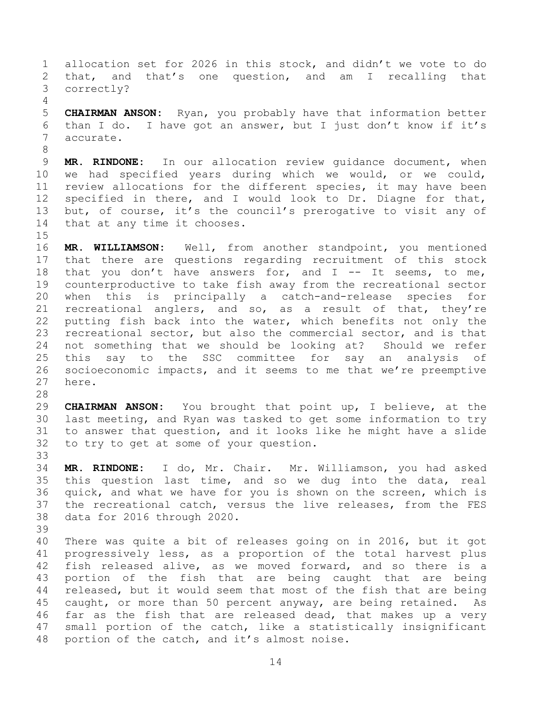1 allocation set for 2026 in this stock, and didn't we vote to do<br>2 that, and that's one question, and am I recalling that 2 that, and that's one question, and am<br>3 correctly? correctly?

 $\frac{4}{5}$ 5 **CHAIRMAN ANSON:** Ryan, you probably have that information better<br>6 than I do. I have got an answer, but I just don't know if it's 6 than I do. I have got an answer, but I just don't know if it's  $\frac{1}{2}$  accurate. accurate.

9 **MR. RINDONE:** In our allocation review guidance document, when<br>10 we had specified years during which we would, or we could, 10 we had specified years during which we would, or we could,<br>11 review allocations for the different species, it may have been 11 review allocations for the different species, it may have been<br>12 specified in there, and I would look to Dr. Diagne for that, 12 specified in there, and I would look to Dr. Diagne for that,<br>13 but, of course, it's the council's prerogative to visit any of 13 but, of course, it's the council's prerogative to visit any of<br>14 that at any time it chooses. that at any time it chooses.

 $\frac{15}{16}$ MR. WILLIAMSON: Well, from another standpoint, you mentioned 17 that there are questions regarding recruitment of this stock<br>18 that you don't have answers for, and I -- It seems, to me, 18 that you don't have answers for, and  $I$  -- It seems, to me,<br>19 counterproductive to take fish away from the recreational sector 19 counterproductive to take fish away from the recreational sector<br>20 when this is principally a catch-and-release species for 20 when this is principally a catch-and-release species<br>21 recreational anglers, and so, as a result of that, they 21 recreational anglers, and so, as a result of that, they're<br>22 putting fish back into the water, which benefits not only the 22 putting fish back into the water, which benefits not only the<br>23 recreational sector, but also the commercial sector, and is that 23 recreational sector, but also the commercial sector, and is that<br>24 not something that we should be looking at? Should we refer 24 not something that we should be looking at? Should we refer<br>25 this say to the SSC committee for say an analysis of 25 this say to the SSC committee for say an analysis of<br>26 socioeconomic impacts, and it seems to me that we're preemptive 26 socioeconomic impacts, and it seems to me that we're preemptive here.

28<br>29 29 **CHAIRMAN ANSON:** You brought that point up, I believe, at the 30 last meeting, and Ryan was tasked to get some information to try<br>31 to answer that question, and it looks like he might have a slide to answer that question, and it looks like he might have a slide 32 to try to get at some of your question.

33<br>34 34 **MR. RINDONE:** I do, Mr. Chair. Mr. Williamson, you had asked 35 this question last time, and so we dug into the data, real<br>36 quick, and what we have for you is shown on the screen, which is 36 quick, and what we have for you is shown on the screen, which is<br>37 the recreational catch, versus the live releases, from the FES 37 the recreational catch, versus the live releases, from the FES<br>38 data for 2016 through 2020. data for 2016 through 2020.

39

8

40 There was quite a bit of releases going on in 2016, but it got 41 progressively less, as a proportion of the total harvest plus<br>42 fish released alive, as we moved forward, and so there is a 42 fish released alive, as we moved forward, and so there is a<br>43 portion of the fish that are being caught that are being 43 portion of the fish that are being caught that are being<br>44 released, but it would seem that most of the fish that are being 44 released, but it would seem that most of the fish that are being<br>45 caught, or more than 50 percent anyway, are being retained. As 45 caught, or more than 50 percent anyway, are being retained. As<br>46 far as the fish that are released dead, that makes up a very 46 far as the fish that are released dead, that makes up a very<br>47 small portion of the catch, like a statistically insignificant small portion of the catch, like a statistically insignificant 48 portion of the catch, and it's almost noise.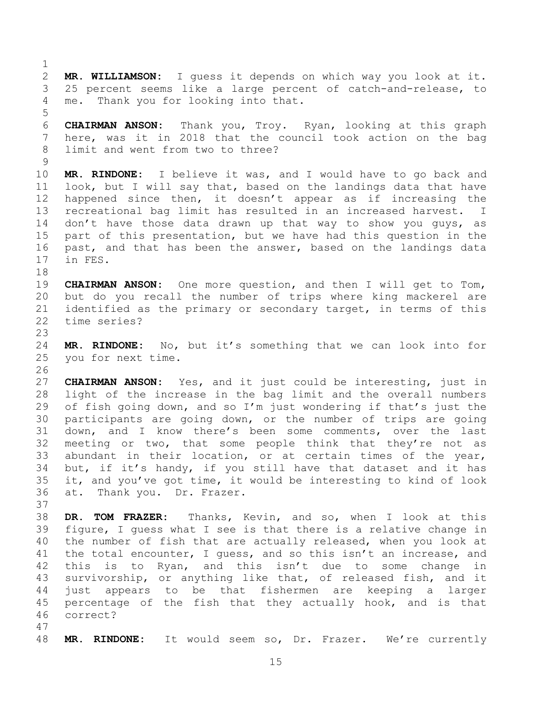$\frac{1}{2}$ 2 **MR. WILLIAMSON:** I guess it depends on which way you look at it. 3 25 percent seems like a large percent of catch-and-release, to<br>4 me. Thank vou for looking into that. me. Thank you for looking into that.

5 6 **CHAIRMAN ANSON:** Thank you, Troy. Ryan, looking at this graph here, was it in 2018 that the council took action on the bag 8 limit and went from two to three?

 $\begin{array}{c} 9 \\ 10 \end{array}$ 10 **MR. RINDONE:** I believe it was, and I would have to go back and 11 look, but I will say that, based on the landings data that have<br>12 happened since then, it doesn't appear as if increasing the 12 happened since then, it doesn't appear as if increasing the<br>13 recreational bag limit has resulted in an increased harvest. I 13 recreational bag limit has resulted in an increased harvest. I<br>14 don't have those data drawn up that way to show you guys, as 14 don't have those data drawn up that way to show you guys, as<br>15 part of this presentation, but we have had this question in the 15 part of this presentation, but we have had this question in the<br>16 past, and that has been the answer, based on the landings data past, and that has been the answer, based on the landings data 17 in FES.

18<br>19 19 **CHAIRMAN ANSON:** One more question, and then I will get to Tom,<br>20 but do you recall the number of trips where king mackerel are 20 but do you recall the number of trips where king mackerel are<br>21 identified as the primary or secondary target, in terms of this 21 identified as the primary or secondary target, in terms of this<br>22 time series? time series?

23

24 **MR. RINDONE:** No, but it's something that we can look into for you for next time.

26<br>27 27 **CHAIRMAN ANSON:** Yes, and it just could be interesting, just in<br>28 light of the increase in the bag limit and the overall numbers 28 light of the increase in the bag limit and the overall numbers<br>29 of fish going down, and so I'm just wondering if that's just the 29 of fish going down, and so I'm just wondering if that's just the<br>30 participants are going down, or the number of trips are going 30 participants are going down, or the number of trips are going<br>31 down, and I know there's been some comments, over the last down, and I know there's been some comments, over the last 32 meeting or two, that some people think that they're not as<br>33 abundant in their location, or at certain times of the year, 33 abundant in their location, or at certain times of the year,<br>34 but, if it's handy, if you still have that dataset and it has 34 but, if it's handy, if you still have that dataset and it has<br>35 it, and you've got time, it would be interesting to kind of look 35 it, and you've got time, it would be interesting to kind of look<br>36 at. Thank you. Dr. Frazer. at. Thank you. Dr. Frazer.

37<br>38 38 **DR. TOM FRAZER:** Thanks, Kevin, and so, when I look at this figure, I guess what I see is that there is a relative change in 40 the number of fish that are actually released, when you look at 41 the total encounter, I guess, and so this isn't an increase, and<br>42 this is to Rvan, and this isn't due to some change in 42 this is to Ryan, and this isn't due to some change in<br>43 survivorship, or anything like that, of released fish, and it 43 survivorship, or anything like that, of released fish, and it<br>44 just appears to be that fishermen are keeping a larger 44 just appears to be that fishermen are keeping a larger<br>45 percentage of the fish that they actually hook, and is that 45 percentage of the fish that they actually hook, and is that<br>46 correct? correct?

47

48 **MR. RINDONE:** It would seem so, Dr. Frazer. We're currently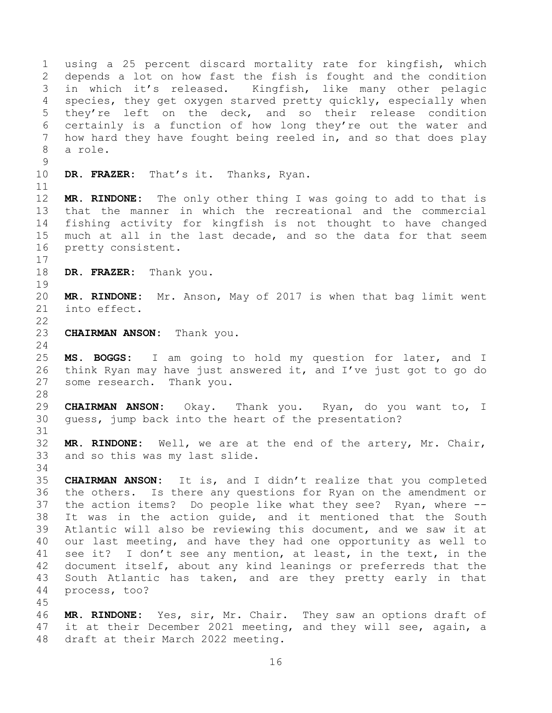1 using a 25 percent discard mortality rate for kingfish, which<br>2 depends a lot on how fast the fish is fought and the condition 2 depends a lot on how fast the fish is fought and the condition<br>3 in which it's released. Kingfish, like many other pelagic 3 in which it's released. Kingfish, like many other pelagic<br>4 species, they get oxygen staryed pretty quickly, especially when 4 species, they get oxygen starved pretty quickly, especially when<br>5 they're left on the deck, and so their release condition 5 they're left on the deck, and so their release condition<br>6 certainly is a function of how long they're out the water and 6 certainly is a function of how long they're out the water and<br>7 how hard they have fought being reeled in, and so that does play how hard they have fought being reeled in, and so that does play 8 a role.  $\begin{array}{c} 9 \\ 10 \end{array}$ DR. FRAZER: That's it. Thanks, Ryan. 11<br>12 12 **MR. RINDONE:** The only other thing I was going to add to that is 13 that the manner in which the recreational and the commercial<br>14 fishing activity for kingfish is not thought to have changed 14 fishing activity for kingfish is not thought to have changed<br>15 much at all in the last decade, and so the data for that seem 15 much at all in the last decade, and so the data for that seem<br>16 pretty consistent. pretty consistent.  $\begin{array}{c} 17 \\ 18 \end{array}$ DR. FRAZER: Thank you. 19<br>20 20 **MR. RINDONE:** Mr. Anson, May of 2017 is when that bag limit went into effect.  $\frac{22}{23}$ **CHAIRMAN ANSON:** Thank you.  $\frac{24}{25}$ 25 **MS. BOGGS:** I am going to hold my question for later, and I<br>26 think Ryan may have just answered it, and I've just got to go do 26 think Ryan may have just answered it, and I've just got to go do  $27$  some research. Thank you. some research. Thank you. 28<br>29 29 **CHAIRMAN ANSON:** Okay. Thank you. Ryan, do you want to, I quess, jump back into the heart of the presentation? 31 32 **MR. RINDONE:** Well, we are at the end of the artery, Mr. Chair, and so this was my last slide. 34<br>35 35 **CHAIRMAN ANSON:** It is, and I didn't realize that you completed 36 the others. Is there any questions for Ryan on the amendment or<br>37 the action items? Do people like what they see? Ryan, where --37 the action items? Do people like what they see? Ryan, where --<br>38 It was in the action quide, and it mentioned that the South 38 It was in the action guide, and it mentioned that the South<br>39 Atlantic will also be reviewing this document, and we saw it at Atlantic will also be reviewing this document, and we saw it at 40 our last meeting, and have they had one opportunity as well to 41 see it? I don't see any mention, at least, in the text, in the<br>42 document itself, about any kind leanings or preferreds that the 42 document itself, about any kind leanings or preferreds that the<br>43 South Atlantic has taken, and are they pretty early in that 43 South Atlantic has taken, and are they pretty early in that<br>44 process, too? process, too? 45 46 **MR. RINDONE:** Yes, sir, Mr. Chair. They saw an options draft of it at their December 2021 meeting, and they will see, again, a

48 draft at their March 2022 meeting.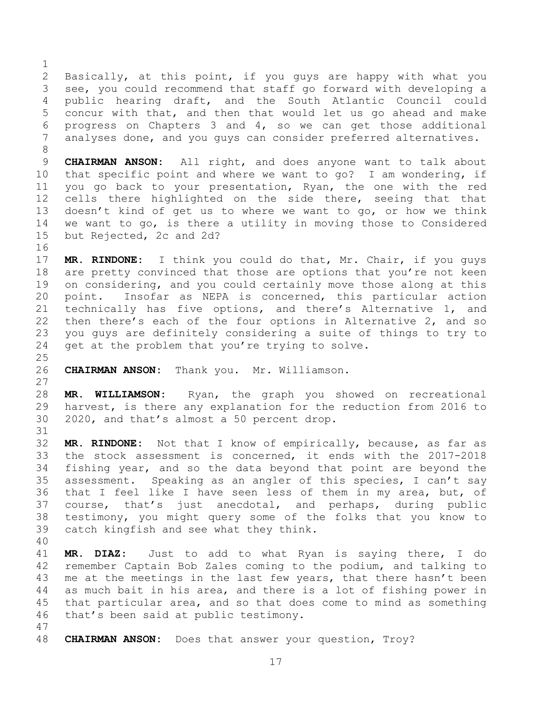$\frac{1}{2}$ 2 Basically, at this point, if you guys are happy with what you<br>3 see, you could recommend that staff go forward with developing a 3 see, you could recommend that staff go forward with developing a<br>4 public hearing draft, and the South Atlantic Council could 4 public hearing draft, and the South Atlantic Council could<br>5 concur with that, and then that would let us go ahead and make 5 concur with that, and then that would let us go ahead and make<br>6 progress on Chapters 3 and 4, so we can get those additional 6 progress on Chapters  $3$  and  $4$ , so we can get those additional  $7$  analyses done, and you quys can consider preferred alternatives. analyses done, and you guys can consider preferred alternatives.

9 **CHAIRMAN ANSON:** All right, and does anyone want to talk about<br>10 that specific point and where we want to go? I am wondering, if 10 that specific point and where we want to go? I am wondering, if<br>11 you go back to your presentation, Ryan, the one with the red 11 you go back to your presentation, Ryan, the one with the red<br>12 cells there highlighted on the side there, seeing that that 12 cells there highlighted on the side there, seeing that that<br>13 doesn't kind of get us to where we want to go, or how we think 13 doesn't kind of get us to where we want to go, or how we think<br>14 we want to go, is there a utility in moving those to Considered 14 we want to go, is there a utility in moving those to Considered<br>15 but Rejected. 2c and 2d? but Rejected, 2c and 2d?

16<br>17 17 **MR. RINDONE:** I think you could do that, Mr. Chair, if you guys 18 are pretty convinced that those are options that you're not keen<br>19 on considering, and you could certainly move those along at this 19 on considering, and you could certainly move those along at this<br>20 point. Insofar as NEPA is concerned, this particular action 20 point. Insofar as NEPA is concerned, this particular action<br>21 technically has five options, and there's Alternative 1, and 21 technically has five options, and there's Alternative 1, and<br>22 then there's each of the four options in Alternative 2, and so 22 then there's each of the four options in Alternative 2, and so<br>23 you guys are definitely considering a suite of things to try to 23 you guys are definitely considering a suite of things to try to<br>24 get at the problem that you're trying to solve. get at the problem that you're trying to solve.

 $\frac{25}{26}$ 26 **CHAIRMAN ANSON:** Thank you. Mr. Williamson.

 $\begin{array}{c} 27 \\ 28 \end{array}$ 28 **MR. WILLIAMSON:** Ryan, the graph you showed on recreational 29 harvest, is there any explanation for the reduction from 2016 to<br>30 2020, and that's almost a 50 percent drop. 30 2020, and that's almost a 50 percent drop.

32 **MR. RINDONE:** Not that I know of empirically, because, as far as 33 the stock assessment is concerned, it ends with the 2017-2018<br>34 fishing vear, and so the data bevond that point are bevond the 34 fishing year, and so the data beyond that point are beyond the<br>35 assessment. Speaking as an angler of this species, I can't sav 35 assessment. Speaking as an angler of this species, I can't say<br>36 that I feel like I have seen less of them in my area, but, of 36 that I feel like I have seen less of them in my area, but, of<br>37 course, that's just anecdotal, and perhaps, during public 37 course, that's just anecdotal, and perhaps, during public<br>38 testimony, you might query some of the folks that you know to 38 testimony, you might query some of the folks that you know to<br>39 catch kingfish and see what they think. catch kingfish and see what they think.

40

31

8

41 **MR. DIAZ:** Just to add to what Ryan is saying there, I do 42 remember Captain Bob Zales coming to the podium, and talking to<br>43 me at the meetings in the last few years, that there hasn't been 43 me at the meetings in the last few years, that there hasn't been<br>44 as much bait in his area, and there is a lot of fishing power in 44 as much bait in his area, and there is a lot of fishing power in<br>45 that particular area, and so that does come to mind as something 45 that particular area, and so that does come to mind as something<br>46 that's been said at public testimony. that's been said at public testimony.

- 47
- 48 **CHAIRMAN ANSON:** Does that answer your question, Troy?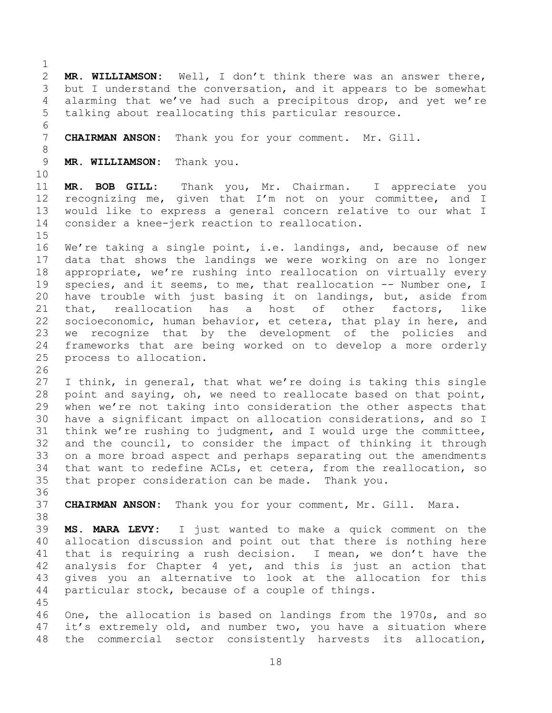$\frac{1}{2}$ 2 **MR. WILLIAMSON:** Well, I don't think there was an answer there,<br>3 but I understand the conversation, and it appears to be somewhat 3 but I understand the conversation, and it appears to be somewhat<br>4 alarming that we've had such a precipitous drop, and vet we're 4 alarming that we've had such a precipitous drop, and yet we're<br>5 talking about reallocating this particular resource. talking about reallocating this particular resource. 6<br>7 CHAIRMAN ANSON: Thank you for your comment. Mr. Gill. 8 9 **MR. WILLIAMSON:** Thank you. 10<br>11 11 **MR. BOB GILL:** Thank you, Mr. Chairman. I appreciate you 12 recognizing me, given that I'm not on your committee, and I<br>13 would like to express a general concern relative to our what I 13 would like to express a general concern relative to our what I<br>14 consider a knee-jerk reaction to reallocation. consider a knee-jerk reaction to reallocation.  $\frac{15}{16}$ We're taking a single point, i.e. landings, and, because of new 17 data that shows the landings we were working on are no longer<br>18 appropriate, we're rushing into reallocation on virtually every 18 appropriate, we're rushing into reallocation on virtually every<br>19 species, and it seems, to me, that reallocation -- Number one, I 19 species, and it seems, to me, that reallocation -- Number one, I<br>20 have trouble with just basing it on landings, but, aside from 20 have trouble with just basing it on landings, but, aside from<br>21 that, reallocation has a host of other factors, like 21 that, reallocation<br>22 socioeconomic, human k 22 socioeconomic, human behavior, et cetera, that play in here, and<br>23 we recognize that by the development of the policies and 23 we recognize that by the development of the policies and<br>24 frameworks that are being worked on to develop a more orderly 24 frameworks that are being worked on to develop a more orderly<br>25 process to allocation. process to allocation. 26<br>27 27 I think, in general, that what we're doing is taking this single<br>28 point and saying, oh, we need to reallocate based on that point, 28 point and saying, oh, we need to reallocate based on that point,<br>29 when we're not taking into consideration the other aspects that 29 when we're not taking into consideration the other aspects that<br>30 have a significant impact on allocation considerations, and so I 30 have a significant impact on allocation considerations, and so I<br>31 think we're rushing to judgment, and I would urge the committee, think we're rushing to judgment, and I would urge the committee, 32 and the council, to consider the impact of thinking it through<br>33 on a more broad aspect and perhaps separating out the amendments 33 on a more broad aspect and perhaps separating out the amendments<br>34 that want to redefine ACLs, et cetera, from the reallocation, so 34 that want to redefine ACLs, et cetera, from the reallocation, so<br>35 that proper consideration can be made. Thank you. that proper consideration can be made. 36<br>37 CHAIRMAN ANSON: Thank you for your comment, Mr. Gill. Mara. 38<br>39 39 **MS. MARA LEVY:** I just wanted to make a quick comment on the 40 allocation discussion and point out that there is nothing here 41 that is requiring a rush decision. I mean, we don't have the<br>42 analysis for Chapter 4 vet, and this is just an action that 42 analysis for Chapter 4 yet, and this is just an action that<br>43 qives you an alternative to look at the allocation for this 43 gives you an alternative to look at the allocation for this<br>44 particular stock, because of a couple of things. particular stock, because of a couple of things. 45 46 One, the allocation is based on landings from the 1970s, and so<br>47 it's extremely old, and number two, you have a situation where it's extremely old, and number two, you have a situation where 48 the commercial sector consistently harvests its allocation,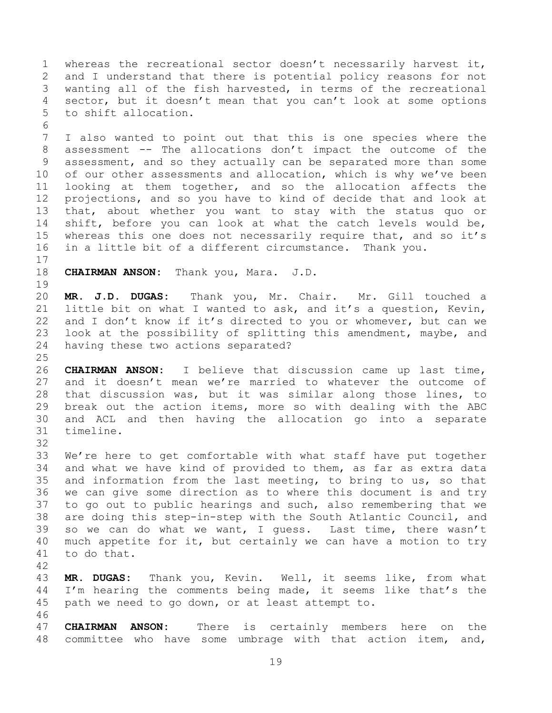1 whereas the recreational sector doesn't necessarily harvest it,<br>2 and I understand that there is potential policy reasons for not 2 and I understand that there is potential policy reasons for not<br>3 wanting all of the fish harvested, in terms of the recreational 3 wanting all of the fish harvested, in terms of the recreational<br>4 sector, but it doesn't mean that you can't look at some options 4 sector, but it doesn't mean that you can't look at some options<br>5 to shift allocation. to shift allocation.

6<br>7 7 I also wanted to point out that this is one species where the 8 assessment -- The allocations don't impact the outcome of the 9 assessment, and so they actually can be separated more than some<br>10 of our other assessments and allocation, which is why we've been 10 of our other assessments and allocation, which is why we've been<br>11 looking at them together, and so the allocation affects the 11 looking at them together, and so the allocation affects the<br>12 projections, and so you have to kind of decide that and look at 12 projections, and so you have to kind of decide that and look at<br>13 that, about whether you want to stay with the status quo or 13 that, about whether you want to stay with the status quo or<br>14 shift, before you can look at what the catch levels would be, 14 shift, before you can look at what the catch levels would be,<br>15 whereas this one does not necessarily require that, and so it's 15 whereas this one does not necessarily require that, and so it's<br>16 in a little bit of a different circumstance. Thank you. in a little bit of a different circumstance. Thank you.

 $\frac{17}{18}$ 

18 **CHAIRMAN ANSON:** Thank you, Mara. J.D.

19<br>20 20 **MR. J.D. DUGAS:** Thank you, Mr. Chair. Mr. Gill touched a 21 little bit on what I wanted to ask, and it's a question, Kevin,<br>22 and I don't know if it's directed to you or whomever, but can we 22 and I don't know if it's directed to you or whomever, but can we<br>23 look at the possibility of splitting this amendment, maybe, and 23 look at the possibility of splitting this amendment, maybe, and<br>24 having these two actions separated? having these two actions separated?

 $\frac{25}{26}$ 

26 **CHAIRMAN ANSON:** I believe that discussion came up last time, 27 and it doesn't mean we're married to whatever the outcome of<br>28 that discussion was, but it was similar along those lines, to 28 that discussion was, but it was similar along those lines, to<br>29 break out the action items, more so with dealing with the ABC 29 break out the action items, more so with dealing with the ABC<br>30 and ACL and then having the allocation go into a separate 30 and ACL and then having the allocation go into a separate timeline.

32<br>33

33 We're here to get comfortable with what staff have put together<br>34 and what we have kind of provided to them, as far as extra data 34 and what we have kind of provided to them, as far as extra data<br>35 and information from the last meeting, to bring to us, so that 35 and information from the last meeting, to bring to us, so that<br>36 we can give some direction as to where this document is and try 36 we can give some direction as to where this document is and try<br>37 to go out to public hearings and such, also remembering that we 37 to go out to public hearings and such, also remembering that we<br>38 are doing this step-in-step with the South Atlantic Council, and 38 are doing this step-in-step with the South Atlantic Council, and<br>39 so we can do what we want, I quess. Last time, there wasn't so we can do what we want, I quess. Last time, there wasn't 40 much appetite for it, but certainly we can have a motion to try 41 to do that.

42 43 **MR. DUGAS:** Thank you, Kevin. Well, it seems like, from what 44 I'm hearing the comments being made, it seems like that's the  $45$  path we need to go down, or at least attempt to. path we need to go down, or at least attempt to.

46<br>47 **CHAIRMAN ANSON:** There is certainly members here on the 48 committee who have some umbrage with that action item, and,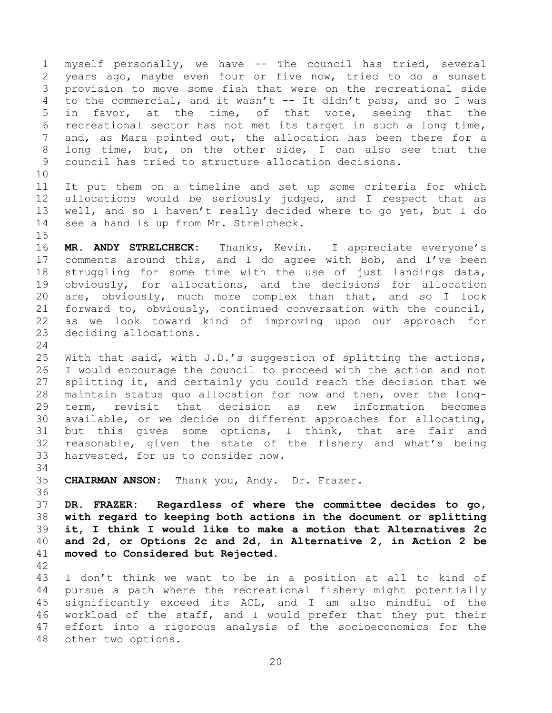1 myself personally, we have -- The council has tried, several<br>2 years ago, maybe even four or five now, tried to do a sunset 2 years ago, maybe even four or five now, tried to do a sunset<br>3 provision to move some fish that were on the recreational side 3 provision to move some fish that were on the recreational side<br>4 to the commercial, and it wasn't -- It didn't pass, and so I was 4 to the commercial, and it wasn't -- It didn't pass, and so I was<br>5 in favor, at the time, of that vote, seeing that the 5 in favor, at the time, of that vote, seeing<br>6 recreational sector has not met its target in such a 6 recreational sector has not met its target in such a long time,<br>7 and, as Mara pointed out, the allocation has been there for a and, as Mara pointed out, the allocation has been there for a 8 long time, but, on the other side, I can also see that the 9 council has tried to structure allocation decisions.

10<br>11 11 It put them on a timeline and set up some criteria for which<br>12 allocations would be seriously judged, and I respect that as 12 allocations would be seriously judged, and I respect that as<br>13 well, and so I haven't really decided where to go yet, but I do 13 well, and so I haven't really decided where to go yet, but I do 14 see a hand is up from Mr. Strelcheck. see a hand is up from Mr. Strelcheck.

 $15$ <br> $16$ MR. ANDY STRELCHECK: Thanks, Kevin. I appreciate everyone's 17 comments around this, and I do agree with Bob, and I've been<br>18 struggling for some time with the use of just landings data, 18 struggling for some time with the use of just landings data,<br>19 obviously, for allocations, and the decisions for allocation 19 obviously, for allocations, and the decisions for allocation<br>20 are, obviously, much more complex than that, and so I look 20 are, obviously, much more complex than that, and so I look<br>21 forward to, obviously, continued conversation with the council, 21 forward to, obviously, continued conversation with the council,<br>22 as we look toward kind of improving upon our approach for 22 as we look toward kind of improving upon our approach for<br>23 deciding allocations. deciding allocations.

 $\frac{24}{25}$ 25 With that said, with J.D.'s suggestion of splitting the actions,<br>26 I would encourage the council to proceed with the action and not 26 I would encourage the council to proceed with the action and not<br>27 splitting it, and certainly you could reach the decision that we 27 splitting it, and certainly you could reach the decision that we<br>28 maintain status quo allocation for now and then, over the long-28 maintain status quo allocation for now and then, over the long-<br>29 term, revisit that decision as new information becomes 29 term, revisit that decision as new information becomes<br>30 available, or we decide on different approaches for allocating, 30 available, or we decide on different approaches for allocating,<br>31 but this gives some options, I think, that are fair and but this gives some options, I think, that are fair and 32 reasonable, given the state of the fishery and what's being<br>33 harvested, for us to consider now. harvested, for us to consider now.

34<br>35 35 **CHAIRMAN ANSON:** Thank you, Andy. Dr. Frazer.

<span id="page-19-0"></span>36<br>37 **DR. FRAZER: Regardless of where the committee decides to go, with regard to keeping both actions in the document or splitting it, I think I would like to make a motion that Alternatives 2c and 2d, or Options 2c and 2d, in Alternative 2, in Action 2 be moved to Considered but Rejected.**

42

43 I don't think we want to be in a position at all to kind of<br>44 pursue a path where the recreational fishery might potentially 44 pursue a path where the recreational fishery might potentially<br>45 significantly exceed its ACL, and I am also mindful of the 45 significantly exceed its ACL, and I am also mindful of the<br>46 workload of the staff, and I would prefer that they put their 46 workload of the staff, and I would prefer that they put their<br>47 effort into a rigorous analysis of the socioeconomics for the effort into a rigorous analysis of the socioeconomics for the 48 other two options.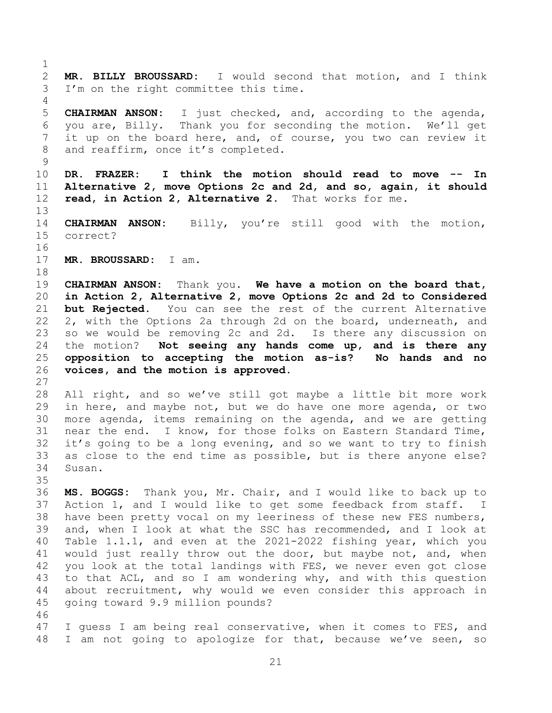<span id="page-20-0"></span> $\frac{1}{2}$ 2 **MR. BILLY BROUSSARD:** I would second that motion, and I think<br>3 I'm on the right committee this time. I'm on the right committee this time.  $\frac{4}{5}$ 5 **CHAIRMAN ANSON:** I just checked, and, according to the agenda,<br>6 vou are, Billy. Thank vou for seconding the motion. We'll get 6 you are, Billy. Thank you for seconding the motion. We'll get<br>7 it up on the board here, and, of course, you two can review it it up on the board here, and, of course, you two can review it 8 and reaffirm, once it's completed.  $\begin{array}{c} 9 \\ 10 \end{array}$ 10 **DR. FRAZER: I think the motion should read to move -- In**  11 **Alternative 2, move Options 2c and 2d, and so, again, it should**  12 **read, in Action 2, Alternative 2.** That works for me.  $\begin{array}{c} 13 \\ 14 \end{array}$ 14 **CHAIRMAN ANSON:** Billy, you're still good with the motion,<br>15 correct? correct? 16 17 **MR. BROUSSARD:** I am. 18<br>19 19 **CHAIRMAN ANSON:** Thank you. **We have a motion on the board that,**  20 **in Action 2, Alternative 2, move Options 2c and 2d to Considered**  21 **but Rejected.** You can see the rest of the current Alternative<br>22 2, with the Options 2a through 2d on the board, underneath, and 22 2, with the Options 2a through 2d on the board, underneath, and<br>23 so we would be removing 2c and 2d. Is there any discussion on 23 so we would be removing 2c and 2d. Is there any discussion on<br>24 the motion? Not seeing any hands come up, and is there any 24 the motion? **Not seeing any hands come up, and is there any**  25 **opposition to accepting the motion as-is? No hands and no**  26 **voices, and the motion is approved.**  $\frac{27}{28}$ 28 All right, and so we've still got maybe a little bit more work<br>29 in here, and maybe not, but we do have one more agenda, or two 29 in here, and maybe not, but we do have one more agenda, or two<br>30 more agenda, items remaining on the agenda, and we are getting 30 more agenda, items remaining on the agenda, and we are getting<br>31 near the end. I know, for those folks on Eastern Standard Time, near the end. I know, for those folks on Eastern Standard Time, 32 it's going to be a long evening, and so we want to try to finish<br>33 as close to the end time as possible, but is there anyone else? 33 as close to the end time as possible, but is there anyone else?<br>34 Susan. Susan. 35<br>36 36 **MS. BOGGS:** Thank you, Mr. Chair, and I would like to back up to 37 Action 1, and I would like to get some feedback from staff. I<br>38 have been pretty vocal on my leeriness of these new FES numbers, 38 have been pretty vocal on my leeriness of these new FES numbers,<br>39 and, when I look at what the SSC has recommended, and I look at and, when I look at what the SSC has recommended, and I look at 40 Table 1.1.1, and even at the 2021-2022 fishing year, which you 41 would just really throw out the door, but maybe not, and, when<br>42 vou look at the total landings with FES, we never even got close 42 you look at the total landings with FES, we never even got close<br>43 to that ACL, and so I am wondering why, and with this question 43 to that ACL, and so I am wondering why, and with this question<br>44 about recruitment, why would we even consider this approach in 44 about recruitment, why would we even consider this approach in<br>45 qoing toward 9.9 million pounds? going toward 9.9 million pounds? 46<br>47 I guess I am being real conservative, when it comes to FES, and

21

48 I am not going to apologize for that, because we've seen, so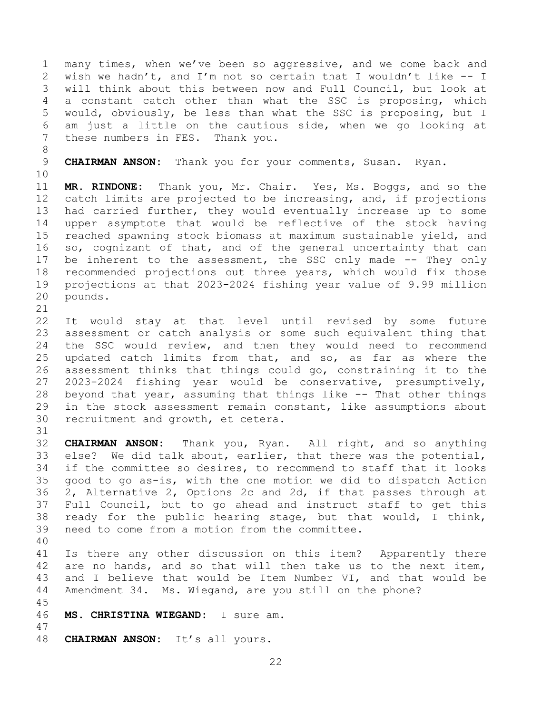1 many times, when we've been so aggressive, and we come back and<br>2 wish we hadn't, and I'm not so certain that I wouldn't like -- I 2 wish we hadn't, and I'm not so certain that I wouldn't like -- I<br>3 will think about this between now and Full Council, but look at 3 will think about this between now and Full Council, but look at<br>4 a constant catch other than what the SSC is proposing, which 4 a constant catch other than what the SSC is proposing, which<br>5 would, obviously, be less than what the SSC is proposing, but I 5 would, obviously, be less than what the SSC is proposing, but I 6 am just a little on the cautious side, when we go looking at<br>7 these numbers in FES. Thank you. these numbers in FES.

8

9 **CHAIRMAN ANSON:** Thank you for your comments, Susan. Ryan.

10<br>11

11 **MR. RINDONE:** Thank you, Mr. Chair. Yes, Ms. Boggs, and so the 12 catch limits are projected to be increasing, and, if projections<br>13 had carried further, they would eventually increase up to some 13 had carried further, they would eventually increase up to some<br>14 upper asymptote that would be reflective of the stock having 14 upper asymptote that would be reflective of the stock having<br>15 reached spawning stock biomass at maximum sustainable vield, and 15 reached spawning stock biomass at maximum sustainable yield, and<br>16 so, cognizant of that, and of the general uncertainty that can so, cognizant of that, and of the general uncertainty that can 17 be inherent to the assessment, the SSC only made -- They only<br>18 recommended projections out three years, which would fix those 18 recommended projections out three years, which would fix those<br>19 projections at that 2023-2024 fishing year value of 9.99 million 19 projections at that 2023-2024 fishing year value of 9.99 million<br>20 pounds. pounds.

21<br>22 22 It would stay at that level until revised by some future<br>23 assessment or catch analysis or some such equivalent thing that 23 assessment or catch analysis or some such equivalent thing that<br>24 the SSC would review, and then they would need to recommend 24 the SSC would review, and then they would need to recommend<br>25 updated catch limits from that, and so, as far as where the 25 updated catch limits from that, and so, as far as where the<br>26 assessment thinks that things could go, constraining it to the 26 assessment thinks that things could go, constraining it to the<br>27 2023-2024 fishing year would be conservative, presumptively, 27 2023-2024 fishing year would be conservative, presumptively,<br>28 beyond that year, assuming that things like -- That other things 28 beyond that year, assuming that things like -- That other things<br>29 in the stock assessment remain constant, like assumptions about 29 in the stock assessment remain constant, like assumptions about<br>30 recruitment and growth, et cetera. recruitment and growth, et cetera.

32 **CHAIRMAN ANSON:** Thank you, Ryan. All right, and so anything 33 else? We did talk about, earlier, that there was the potential,<br>34 if the committee so desires, to recommend to staff that it looks 34 if the committee so desires, to recommend to staff that it looks<br>35 qood to qo as-is, with the one motion we did to dispatch Action 35 good to go as-is, with the one motion we did to dispatch Action<br>36 2, Alternative 2, Options 2c and 2d, if that passes through at 36 2, Alternative 2, Options 2c and 2d, if that passes through at<br>37 Full Council, but to go ahead and instruct staff to get this 37 Full Council, but to go ahead and instruct staff to get this<br>38 ready for the public hearing stage, but that would, I think, 38 ready for the public hearing stage, but that would, I think,<br>39 need to come from a motion from the committee. need to come from a motion from the committee.

40

31

41 Is there any other discussion on this item? Apparently there<br>42 are no hands, and so that will then take us to the next item, 42 are no hands, and so that will then take us to the next item,<br>43 and I believe that would be Item Number VI, and that would be 43 and I believe that would be Item Number VI, and that would be 44 Amendment 34. Ms. Wiegand, are you still on the phone? Amendment 34. Ms. Wiegand, are you still on the phone?

45

- 46 **MS. CHRISTINA WIEGAND:** I sure am.
- 48 **CHAIRMAN ANSON:** It's all yours.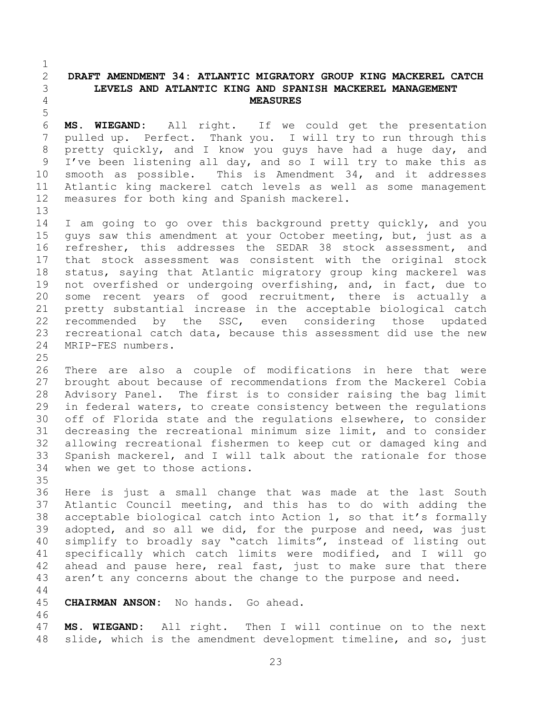## <span id="page-22-0"></span>2 **DRAFT AMENDMENT 34: ATLANTIC MIGRATORY GROUP KING MACKEREL CATCH**  3 **LEVELS AND ATLANTIC KING AND SPANISH MACKEREL MANAGEMENT**  4 **MEASURES**

5 6 **MS. WIEGAND:** All right. If we could get the presentation pulled up. Perfect. Thank you. I will try to run through this 8 pretty quickly, and I know you guys have had a huge day, and 9 I've been listening all day, and so I will try to make this as<br>10 smooth as possible. This is Amendment 34, and it addresses 10 smooth as possible. This is Amendment 34, and it addresses<br>11 Atlantic king mackerel catch levels as well as some management 11 Atlantic king mackerel catch levels as well as some management<br>12 measures for both king and Spanish mackerel. measures for both king and Spanish mackerel.

13<br>14 14 I am going to go over this background pretty quickly, and you<br>15 quys saw this amendment at your October meeting, but, just as a 15 guys saw this amendment at your October meeting, but, just as a<br>16 refresher, this addresses the SEDAR 38 stock assessment, and refresher, this addresses the SEDAR 38 stock assessment, and 17 that stock assessment was consistent with the original stock<br>18 status, saying that Atlantic migratory group king mackerel was 18 status, saying that Atlantic migratory group king mackerel was<br>19 not overfished or undergoing overfishing, and, in fact, due to 19 not overfished or undergoing overfishing, and, in fact, due to<br>20 some recent years of good recruitment, there is actually a 20 some recent years of good recruitment, there is actually a<br>21 pretty substantial increase in the acceptable biological catch 21 pretty substantial increase in the acceptable biological catch<br>22 recommended by the SSC, even considering those updated 22 recommended by the SSC, even considering those<br>23 recreational catch data, because this assessment did use 23 recreational catch data, because this assessment did use the new<br>24 MRIP-FES numbers. MRIP-FES numbers.

 $\frac{25}{26}$ 

 $\frac{1}{2}$ 

26 There are also a couple of modifications in here that were<br>27 brought about because of recommendations from the Mackerel Cobia 27 brought about because of recommendations from the Mackerel Cobia<br>28 Advisory Panel. The first is to consider raising the bag limit 28 Advisory Panel. The first is to consider raising the bag limit<br>29 in federal waters, to create consistency between the requlations 29 in federal waters, to create consistency between the regulations<br>30 off of Florida state and the regulations elsewhere, to consider 30 off of Florida state and the regulations elsewhere, to consider<br>31 decreasing the recreational minimum size limit, and to consider decreasing the recreational minimum size limit, and to consider 32 allowing recreational fishermen to keep cut or damaged king and<br>33 Spanish mackerel, and I will talk about the rationale for those 33 Spanish mackerel, and I will talk about the rationale for those<br>34 when we get to those actions. when we get to those actions.

35<br>36 36 Here is just a small change that was made at the last South<br>37 Atlantic Council meeting, and this has to do with adding the 37 Atlantic Council meeting, and this has to do with adding the<br>38 acceptable biological catch into Action 1, so that it's formally 38 acceptable biological catch into Action 1, so that it's formally<br>39 adopted, and so all we did, for the purpose and need, was just adopted, and so all we did, for the purpose and need, was just 40 simplify to broadly say "catch limits", instead of listing out 41 specifically which catch limits were modified, and I will go<br>42 ahead and pause here, real fast, just to make sure that there 42 ahead and pause here, real fast, just to make sure that there<br>43 aren't any concerns about the change to the purpose and need. aren't any concerns about the change to the purpose and need.

 $\begin{array}{c} 44 \\ 45 \end{array}$ 

CHAIRMAN ANSON: No hands. Go ahead.

46<br>47 MS. WIEGAND: All right. Then I will continue on to the next 48 slide, which is the amendment development timeline, and so, just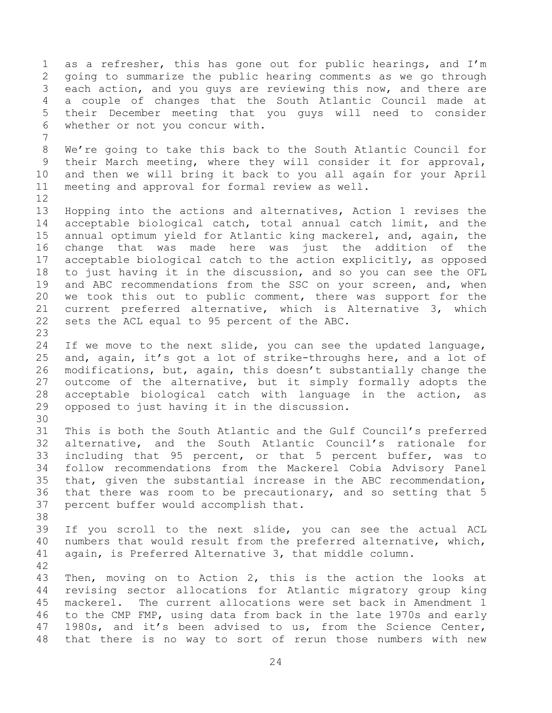1 as a refresher, this has gone out for public hearings, and I'm<br>2 qoing to summarize the public hearing comments as we go through 2 going to summarize the public hearing comments as we go through<br>3 each action, and you quys are reviewing this now, and there are 3 each action, and you guys are reviewing this now, and there are<br>4 a couple of changes that the South Atlantic Council made at 4 a couple of changes that the South Atlantic Council made at<br>5 their December meeting that you guys will need to consider 5 their December meeting that you guys will need to consider<br>6 whether or not you concur with. whether or not you concur with. 7 8 We're going to take this back to the South Atlantic Council for 9 their March meeting, where they will consider it for approval,<br>10 and then we will bring it back to you all again for your April 10 and then we will bring it back to you all again for your April<br>11 meeting and approval for formal review as well. meeting and approval for formal review as well. 12<br>13 13 Hopping into the actions and alternatives, Action 1 revises the<br>14 acceptable biological catch, total annual catch limit, and the 14 acceptable biological catch, total annual catch limit, and the<br>15 annual optimum vield for Atlantic king mackerel, and, again, the 15 annual optimum yield for Atlantic king mackerel, and, again, the<br>16 change that was made here was just the addition of the change that was made here was just the addition of 17 acceptable biological catch to the action explicitly, as opposed<br>18 to just having it in the discussion, and so you can see the OFL 18 to just having it in the discussion, and so you can see the OFL<br>19 and ABC recommendations from the SSC on vour screen, and, when 19 and ABC recommendations from the SSC on your screen, and, when<br>20 we took this out to public comment, there was support for the 20 we took this out to public comment, there was support for the<br>21 current preferred alternative, which is Alternative 3, which 21 current preferred alternative, which is Alternative 3, which<br>22 sets the ACL equal to 95 percent of the ABC. sets the ACL equal to 95 percent of the ABC.  $\frac{23}{24}$ 24 If we move to the next slide, you can see the updated language,<br>25 and, again, it's got a lot of strike-throughs here, and a lot of 25 and, again, it's got a lot of strike-throughs here, and a lot of<br>26 modifications, but, again, this doesn't substantially change the 26 modifications, but, again, this doesn't substantially change the<br>27 outcome of the alternative, but it simply formally adopts the 27 outcome of the alternative, but it simply formally adopts the<br>28 acceptable biological catch with language in the action, as 28 acceptable biological catch with language in the action, as<br>29 opposed to just having it in the discussion. opposed to just having it in the discussion. 30<br>31 This is both the South Atlantic and the Gulf Council's preferred 32 alternative, and the South Atlantic Council's rationale for<br>33 including that 95 percent, or that 5 percent buffer, was to 33 including that 95 percent, or that 5 percent buffer, was to<br>34 follow recommendations from the Mackerel Cobia Advisory Panel 34 follow recommendations from the Mackerel Cobia Advisory Panel<br>35 that, given the substantial increase in the ABC recommendation, 35 that, given the substantial increase in the ABC recommendation,<br>36 that there was room to be precautionary, and so setting that 5 36 that there was room to be precautionary, and so setting that 5<br>37 percent buffer would accomplish that. percent buffer would accomplish that. 38<br>39 If you scroll to the next slide, you can see the actual ACL 40 numbers that would result from the preferred alternative, which, 41 again, is Preferred Alternative 3, that middle column. 42 43 Then, moving on to Action 2, this is the action the looks at<br>44 revising sector allocations for Atlantic migratory group king 44 revising sector allocations for Atlantic migratory group king<br>45 mackerel. The current allocations were set back in Amendment 1 45 mackerel. The current allocations were set back in Amendment 1<br>46 to the CMP FMP, using data from back in the late 1970s and early 46 to the CMP FMP, using data from back in the late 1970s and early<br>47 1980s, and it's been advised to us, from the Science Center, 1980s, and it's been advised to us, from the Science Center, 48 that there is no way to sort of rerun those numbers with new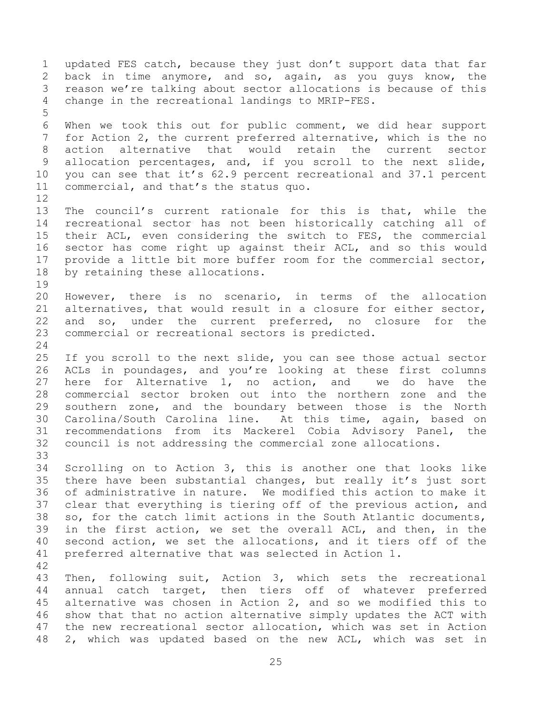1 updated FES catch, because they just don't support data that far<br>2 back in time anymore, and so, again, as you guys know, the 2 back in time anymore, and so, again, as you guys know, the<br>3 reason we're talking about sector allocations is because of this 3 reason we're talking about sector allocations is because of this<br>4 change in the recreational landings to MRIP-FES. change in the recreational landings to MRIP-FES. 5 6 When we took this out for public comment, we did hear support<br>7 for Action 2, the current preferred alternative, which is the no for Action 2, the current preferred alternative, which is the no 8 action alternative that would retain the current sector 9 allocation percentages, and, if you scroll to the next slide,<br>10 you can see that it's 62.9 percent recreational and 37.1 percent 10 you can see that it's 62.9 percent recreational and 37.1 percent<br>11 commercial, and that's the status quo. commercial, and that's the status quo.  $\begin{array}{c} 12 \\ 13 \end{array}$ 13 The council's current rationale for this is that, while the<br>14 recreational sector has not been historically catching all of 14 recreational sector has not been historically catching all of<br>15 their ACL, even considering the switch to FES, the commercial 15 their ACL, even considering the switch to FES, the commercial<br>16 sector has come right up against their ACL, and so this would sector has come right up against their ACL, and so this would 17 provide a little bit more buffer room for the commercial sector,<br>18 by retaining these allocations. by retaining these allocations. 19<br>20 20 However, there is no scenario, in terms of the allocation<br>21 alternatives, that would result in a closure for either sector, 21 alternatives, that would result in a closure for either sector,<br>22 and so, under the current preferred, no closure for the 22 and so, under the current preferred, no closure for the<br>23 commercial or recreational sectors is predicted. commercial or recreational sectors is predicted.  $\frac{24}{25}$ 25 If you scroll to the next slide, you can see those actual sector<br>26 ACLs in poundages, and you're looking at these first columns 26 ACLs in poundages, and you're looking at these first columns<br>27 here for Alternative 1, no action, and we do have the 27 here for Alternative 1, no action, and<br>28 commercial sector broken out into the nor 28 commercial sector broken out into the northern zone and the<br>29 southern zone, and the boundary between those is the North 29 southern zone, and the boundary between those is the North<br>30 Carolina/South Carolina line. At this time, again, based on 30 Carolina/South Carolina line. At this time, again, based on<br>31 recommendations from its Mackerel Cobia Advisory Panel, the 31 recommendations from its Mackerel Cobia Advisory Panel, the 32 council is not addressing the commercial zone allocations. 33<br>34 34 Scrolling on to Action 3, this is another one that looks like<br>35 there have been substantial changes, but really it's just sort 35 there have been substantial changes, but really it's just sort<br>36 of administrative in nature. We modified this action to make it 36 of administrative in nature. We modified this action to make it<br>37 clear that everything is tiering off of the previous action, and 37 clear that everything is tiering off of the previous action, and<br>38 so, for the catch limit actions in the South Atlantic documents, 38 so, for the catch limit actions in the South Atlantic documents,<br>39 in the first action, we set the overall ACL, and then, in the in the first action, we set the overall ACL, and then, in the 40 second action, we set the allocations, and it tiers off of the 41 preferred alternative that was selected in Action 1. 42 43 Then, following suit, Action 3, which sets the recreational<br>44 annual catch target, then tiers off of whatever preferred 44 annual catch target, then tiers off of whatever preferred<br>45 alternative was chosen in Action 2, and so we modified this to 45 alternative was chosen in Action 2, and so we modified this to<br>46 show that that no action alternative simply updates the ACT with 46 show that that no action alternative simply updates the ACT with<br>47 the new recreational sector allocation, which was set in Action the new recreational sector allocation, which was set in Action 48 2, which was updated based on the new ACL, which was set in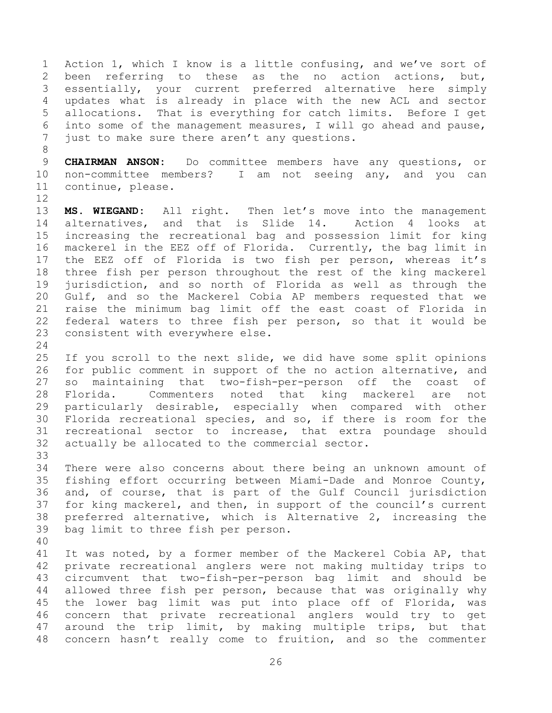1 Action 1, which I know is a little confusing, and we've sort of<br>2 been referring to these as the no action actions, but, 2 been referring to these as the no action actions, but,<br>3 essentially, your current preferred alternative here simply 3 essentially, your current preferred alternative here simply<br>4 updates what is already in place with the new ACL and sector 4 updates what is already in place with the new ACL and sector<br>5 allocations. That is everything for catch limits. Before I get 5 allocations. That is everything for catch limits. Before I get<br>6 into some of the management measures, I will go ahead and pause, 6 into some of the management measures, I will go ahead and pause,<br>7 just to make sure there aren't any questions. just to make sure there aren't any questions.

8

9 **CHAIRMAN ANSON:** Do committee members have any questions, or<br>10 non-committee members? I am not seeing any, and you can 10 non-committee members? I am not seeing any, and you can<br>11 continue, please. continue, please.

 $\begin{array}{c} 12 \\ 13 \end{array}$ 13 **MS. WIEGAND:** All right. Then let's move into the management<br>14 alternatives, and that is Slide 14. Action 4 looks at 14 alternatives, and that is Slide 14.<br>15 increasing the recreational bag and pos 15 increasing the recreational bag and possession limit for king<br>16 mackerel in the EEZ off of Florida. Currently, the bag limit in mackerel in the EEZ off of Florida. Currently, the bag limit in 17 the EEZ off of Florida is two fish per person, whereas it's<br>18 three fish per person throughout the rest of the king mackerel 18 three fish per person throughout the rest of the king mackerel<br>19 jurisdiction, and so north of Florida as well as through the 19 jurisdiction, and so north of Florida as well as through the<br>20 Gulf, and so the Mackerel Cobia AP members requested that we 20 Gulf, and so the Mackerel Cobia AP members requested that we<br>21 raise the minimum bag limit off the east coast of Florida in 21 raise the minimum bag limit off the east coast of Florida in<br>22 federal waters to three fish per person, so that it would be 22 federal waters to three fish per person, so that it would be<br>23 consistent with everywhere else. consistent with everywhere else.

 $\frac{24}{25}$ 25 If you scroll to the next slide, we did have some split opinions<br>26 for public comment in support of the no action alternative, and 26 for public comment in support of the no action alternative, and<br>27 so maintaining that two-fish-per-person off the coast of 27 so maintaining that two-fish-per-person off the coast of<br>28 Florida. Commenters noted that king mackerel are not 28 Florida. Commenters noted that king mackerel are not<br>29 particularly desirable, especially when compared with other 29 particularly desirable, especially when compared with other<br>30 Florida recreational species, and so, if there is room for the 30 Florida recreational species, and so, if there is room for the<br>31 recreational sector to increase, that extra poundage should 31 recreational sector to increase, that extra poundage should<br>32 actually be allocated to the commercial sector. actually be allocated to the commercial sector.

33<br>34 34 There were also concerns about there being an unknown amount of<br>35 fishing effort occurring between Miami-Dade and Monroe County, 35 fishing effort occurring between Miami-Dade and Monroe County,<br>36 and, of course, that is part of the Gulf Council jurisdiction 36 and, of course, that is part of the Gulf Council jurisdiction<br>37 for king mackerel, and then, in support of the council's current 37 for king mackerel, and then, in support of the council's current<br>38 preferred alternative, which is Alternative 2, increasing the 38 preferred alternative, which is Alternative 2, increasing the<br>39 bag limit to three fish per person. bag limit to three fish per person.

40

41 It was noted, by a former member of the Mackerel Cobia AP, that<br>42 private recreational anglers were not making multidav trips to 42 private recreational anglers were not making multiday trips to<br>43 circumvent that two-fish-per-person bag limit and should be 43 circumvent that two-fish-per-person bag limit and should be<br>44 allowed three fish per person, because that was originally why 44 allowed three fish per person, because that was originally why<br>45 the lower bag limit was put into place off of Florida, was 45 the lower bag limit was put into place off of Florida, was<br>46 concern that private recreational anglers would try to get 46 concern that private recreational anglers would try to get<br>47 around the trip limit, by making multiple trips, but that around the trip limit, by making multiple trips, but that 48 concern hasn't really come to fruition, and so the commenter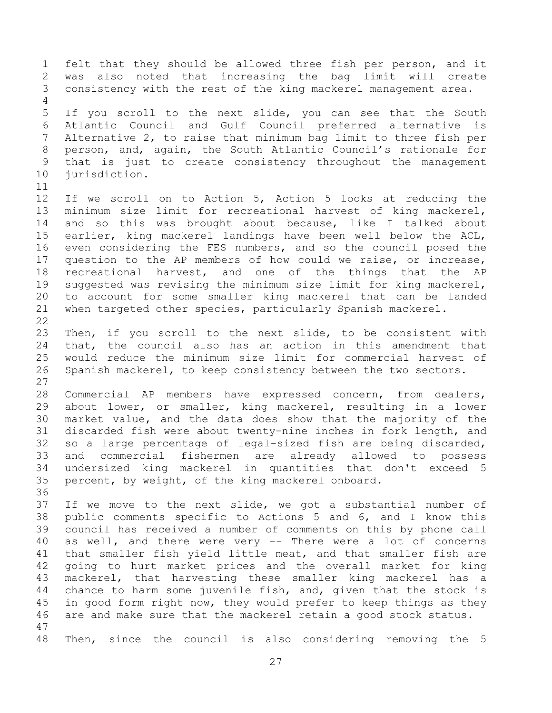1 felt that they should be allowed three fish per person, and it<br>2 was also noted that increasing the bag limit will create 2 was also noted that increasing the bag limit will create<br>3 consistency with the rest of the king mackerel management area. consistency with the rest of the king mackerel management area.  $\frac{4}{5}$ 5 If you scroll to the next slide, you can see that the South<br>6 Atlantic Council and Gulf Council preferred alternative is 6 Atlantic Council and Gulf Council preferred alternative is Alternative 2, to raise that minimum bag limit to three fish per 8 person, and, again, the South Atlantic Council's rationale for 9 that is just to create consistency throughout the management<br>10 jurisdiction. jurisdiction. 11<br>12 12 If we scroll on to Action 5, Action 5 looks at reducing the<br>13 minimum size limit for recreational harvest of king mackerel, 13 minimum size limit for recreational harvest of king mackerel,<br>14 and so this was brought about because, like I talked about 14 and so this was brought about because, like I talked about<br>15 earlier, king mackerel landings have been well below the ACL, 15 earlier, king mackerel landings have been well below the ACL,<br>16 even considering the FES numbers, and so the council posed the even considering the FES numbers, and so the council posed the 17 question to the AP members of how could we raise, or increase,<br>18 recreational harvest, and one of the things that the AP 18 recreational harvest, and one of the things that the AP<br>19 suggested was revising the minimum size limit for king mackerel, 19 suggested was revising the minimum size limit for king mackerel,<br>20 to account for some smaller king mackerel that can be landed 20 to account for some smaller king mackerel that can be landed<br>21 when targeted other species, particularly Spanish mackerel. when targeted other species, particularly Spanish mackerel.  $\frac{22}{23}$ 23 Then, if you scroll to the next slide, to be consistent with<br>24 that, the council also has an action in this amendment that 24 that, the council also has an action in this amendment that<br>25 would reduce the minimum size limit for commercial harvest of 25 would reduce the minimum size limit for commercial harvest of<br>26 Spanish mackerel, to keep consistency between the two sectors. Spanish mackerel, to keep consistency between the two sectors.  $\frac{27}{28}$ 28 Commercial AP members have expressed concern, from dealers,<br>29 about lower, or smaller, king mackerel, resulting in a lower 29 about lower, or smaller, king mackerel, resulting in a lower<br>30 market value, and the data does show that the majority of the 30 market value, and the data does show that the majority of the<br>31 discarded fish were about twenty-nine inches in fork length, and discarded fish were about twenty-nine inches in fork length, and 32 so a large percentage of legal-sized fish are being discarded,<br>33 and commercial fishermen are already allowed to possess 33 and commercial fishermen are already allowed to possess 34 undersized king mackerel in quantities that don't exceed 5<br>35 percent, by weight, of the king mackerel onboard. percent, by weight, of the king mackerel onboard. 36<br>37 37 If we move to the next slide, we got a substantial number of<br>38 public comments specific to Actions 5 and 6, and I know this 38 public comments specific to Actions 5 and 6, and I know this<br>39 council has received a number of comments on this by phone call council has received a number of comments on this by phone call 40 as well, and there were very -- There were a lot of concerns 41 that smaller fish yield little meat, and that smaller fish are<br>42 qoing to hurt market prices and the overall market for king 42 going to hurt market prices and the overall market for king<br>43 mackerel, that harvesting these smaller king mackerel has a 43 mackerel, that harvesting these smaller king mackerel has a<br>44 chance to harm some juvenile fish, and, given that the stock is 44 chance to harm some juvenile fish, and, given that the stock is<br>45 in good form right now, they would prefer to keep things as they 45 in good form right now, they would prefer to keep things as they<br>46 are and make sure that the mackerel retain a good stock status. are and make sure that the mackerel retain a good stock status. 47 48 Then, since the council is also considering removing the 5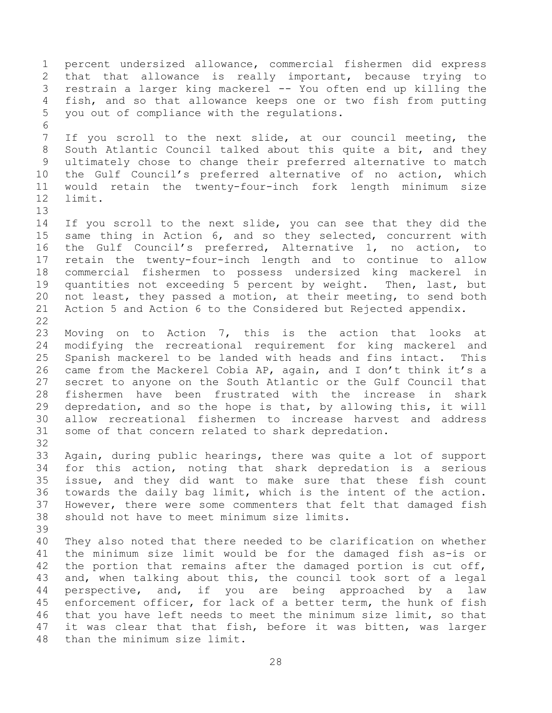1 percent undersized allowance, commercial fishermen did express<br>2 that that allowance is really important, because trying to 2 that that allowance is really important, because trying to<br>3 restrain a larger king mackerel -- You often end up killing the 3 restrain a larger king mackerel -- You often end up killing the<br>4 fish, and so that allowance keeps one or two fish from putting 4 fish, and so that allowance keeps one or two fish from putting<br>5 you out of compliance with the requlations. you out of compliance with the regulations. 6<br>7 If you scroll to the next slide, at our council meeting, the 8 South Atlantic Council talked about this quite a bit, and they 9 ultimately chose to change their preferred alternative to match<br>10 the Gulf Council's preferred alternative of no action, which 10 the Gulf Council's preferred alternative of no action, which<br>11 would retain the twenty-four-inch fork length minimum size 11 would retain the twenty-four-inch fork length minimum size limit. 13<br>14 14 If you scroll to the next slide, you can see that they did the<br>15 same thing in Action 6, and so they selected, concurrent with 15 same thing in Action 6, and so they selected, concurrent with<br>16 the Gulf Council's preferred, Alternative 1, no action, to the Gulf Council's preferred, Alternative 1, no action, to 17 retain the twenty-four-inch length and to continue to allow<br>18 commercial fishermen to possess undersized king mackerel in 18 commercial fishermen to possess undersized king mackerel in<br>19 quantities not exceeding 5 percent by weight. Then, last, but 19 quantities not exceeding 5 percent by weight. Then, last, but<br>20 not least, they passed a motion, at their meeting, to send both 20 not least, they passed a motion, at their meeting, to send both<br>21 Action 5 and Action 6 to the Considered but Rejected appendix. Action 5 and Action 6 to the Considered but Rejected appendix.  $\frac{22}{23}$ 23 Moving on to Action 7, this is the action that looks at<br>24 modifying the recreational requirement for king mackerel and 24 modifying the recreational requirement for king mackerel and<br>25 Spanish mackerel to be landed with heads and fins intact. This 25 Spanish mackerel to be landed with heads and fins intact. This<br>26 came from the Mackerel Cobia AP, again, and I don't think it's a 26 came from the Mackerel Cobia AP, again, and I don't think it's a<br>27 secret to anyone on the South Atlantic or the Gulf Council that 27 secret to anyone on the South Atlantic or the Gulf Council that<br>28 fishermen have been frustrated with the increase in shark 28 fishermen have been frustrated with the increase in shark<br>29 depredation, and so the hope is that, by allowing this, it will 29 depredation, and so the hope is that, by allowing this, it will<br>30 allow recreational fishermen to increase harvest and address 30 allow recreational fishermen to increase harvest and address<br>31 some of that concern related to shark depredation. some of that concern related to shark depredation. 32<br>33 33 Again, during public hearings, there was quite a lot of support<br>34 for this action, noting that shark depredation is a serious 34 for this action, noting that shark depredation is a serious<br>35 issue, and they did want to make sure that these fish count 35 issue, and they did want to make sure that these fish count<br>36 towards the daily bag limit, which is the intent of the action. 36 towards the daily bag limit, which is the intent of the action.<br>37 However, there were some commenters that felt that damaged fish 37 However, there were some commenters that felt that damaged fish<br>38 should not have to meet minimum size limits. should not have to meet minimum size limits. 39 40 They also noted that there needed to be clarification on whether 41 the minimum size limit would be for the damaged fish as-is or<br>42 the portion that remains after the damaged portion is cut off, 42 the portion that remains after the damaged portion is cut off,<br>43 and, when talking about this, the council took sort of a legal 43 and, when talking about this, the council took sort of a legal<br>44 perspective, and, if you are being approached by a law 44 perspective, and, if you are being approached by<br>45 enforcement officer, for lack of a better term, the hunk 45 enforcement officer, for lack of a better term, the hunk of fish<br>46 that you have left needs to meet the minimum size limit, so that 46 that you have left needs to meet the minimum size limit, so that<br>47 it was clear that that fish, before it was bitten, was larger it was clear that that fish, before it was bitten, was larger 48 than the minimum size limit.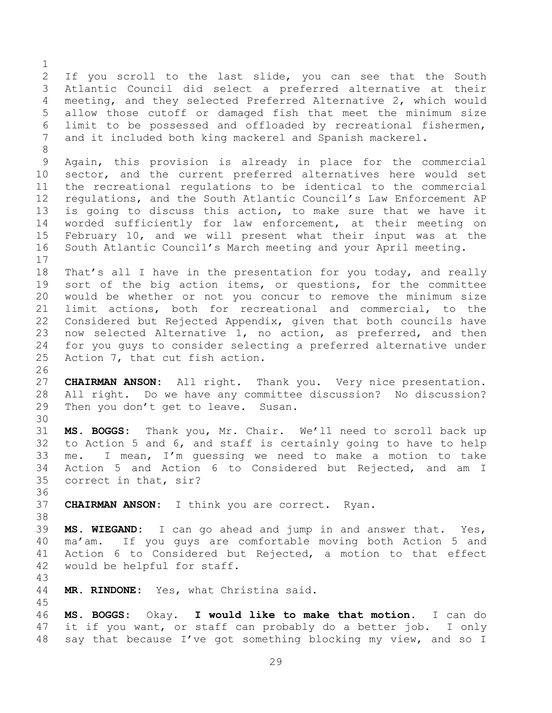$\frac{1}{2}$ 2 If you scroll to the last slide, you can see that the South<br>3 Atlantic Council did select a preferred alternative at their 3 Atlantic Council did select a preferred alternative at their<br>4 meeting, and they selected Preferred Alternative 2, which would 4 meeting, and they selected Preferred Alternative 2, which would<br>5 allow those cutoff or damaged fish that meet the minimum size 5 allow those cutoff or damaged fish that meet the minimum size<br>6 limit to be possessed and offloaded by recreational fishermen, 6 limit to be possessed and offloaded by recreational fishermen,<br>7 and it included both king mackerel and Spanish mackerel. and it included both king mackerel and Spanish mackerel. 8 9 Again, this provision is already in place for the commercial<br>10 sector, and the current preferred alternatives here would set 10 sector, and the current preferred alternatives here would set<br>11 the recreational requlations to be identical to the commercial 11 the recreational regulations to be identical to the commercial<br>12 regulations, and the South Atlantic Council's Law Enforcement AP 12 regulations, and the South Atlantic Council's Law Enforcement AP<br>13 is going to discuss this action, to make sure that we have it 13 is going to discuss this action, to make sure that we have it<br>14 worded sufficiently for law enforcement, at their meeting on 14 worded sufficiently for law enforcement, at their meeting on<br>15 February 10, and we will present what their input was at the 15 February 10, and we will present what their input was at the<br>16 South Atlantic Council's March meeting and your April meeting. South Atlantic Council's March meeting and your April meeting.  $\begin{array}{c} 17 \\ 18 \end{array}$ 18 That's all I have in the presentation for you today, and really<br>19 sort of the big action items, or questions, for the committee 19 sort of the big action items, or questions, for the committee<br>20 would be whether or not you concur to remove the minimum size 20 would be whether or not you concur to remove the minimum size<br>21 limit actions, both for recreational and commercial, to the 21 limit actions, both for recreational and commercial, to the<br>22 Considered but Rejected Appendix, given that both councils have 22 Considered but Rejected Appendix, given that both councils have<br>23 now selected Alternative 1, no action, as preferred, and then 23 now selected Alternative 1, no action, as preferred, and then<br>24 for you quys to consider selecting a preferred alternative under 24 for you guys to consider selecting a preferred alternative under<br>25 Action 7, that cut fish action. Action 7, that cut fish action. 26<br>27 27 **CHAIRMAN ANSON:** All right. Thank you. Very nice presentation.<br>28 All right. Do we have any committee discussion? No discussion? 28 All right. Do we have any committee discussion? No discussion?<br>29 Then you don't get to leave. Susan. Then you don't get to leave. Susan. 30<br>31 MS. BOGGS: Thank you, Mr. Chair. We'll need to scroll back up 32 to Action 5 and 6, and staff is certainly going to have to help<br>33 me. I mean, I'm quessing we need to make a motion to take 33 me. I mean, I'm guessing we need to make a motion to take 34 Action 5 and Action 6 to Considered but Rejected, and am I<br>35 correct in that, sir? correct in that, sir? 36<br>37

CHAIRMAN ANSON: I think you are correct. Ryan.

38<br>39 MS. WIEGAND: I can go ahead and jump in and answer that. Yes, 40 ma'am. If you guys are comfortable moving both Action 5 and 41 Action 6 to Considered but Rejected, a motion to that effect<br>42 would be helpful for staff. would be helpful for staff.

43 MR. RINDONE: Yes, what Christina said.

<span id="page-28-0"></span>45 46 **MS. BOGGS:** Okay. **I would like to make that motion.** I can do it if you want, or staff can probably do a better job. I only 48 say that because I've got something blocking my view, and so I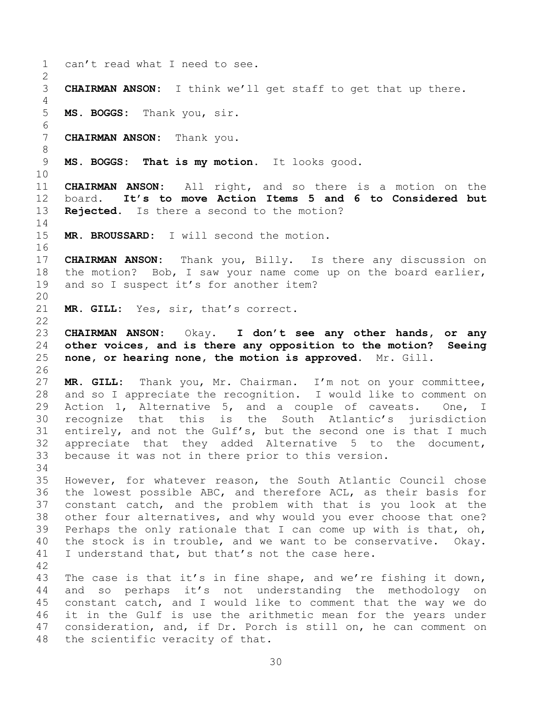<span id="page-29-0"></span>1 can't read what I need to see.  $\frac{2}{3}$ **CHAIRMAN ANSON:** I think we'll get staff to get that up there.  $\frac{4}{5}$ 5 **MS. BOGGS:** Thank you, sir. 6<br>7 **CHAIRMAN ANSON:** Thank you. 8 9 **MS. BOGGS: That is my motion.** It looks good. 10<br>11 11 **CHAIRMAN ANSON:** All right, and so there is a motion on the 12 board. It's to move Action Items 5 and 6 to Considered but 12 board. **It's to move Action Items 5 and 6 to Considered but Rejected.** Is there a second to the motion?  $\frac{14}{15}$ MR. BROUSSARD: I will second the motion. 16 17 **CHAIRMAN ANSON:** Thank you, Billy. Is there any discussion on<br>18 the motion? Bob, I saw your name come up on the board earlier, 18 the motion? Bob, I saw your name come up on the board earlier,<br>19 and so I suspect it's for another item? and so I suspect it's for another item? 20<br>21 MR. GILL: Yes, sir, that's correct.  $\begin{array}{c} 22 \\ 23 \end{array}$ 23 **CHAIRMAN ANSON:** Okay. **I don't see any other hands, or any**  24 **other voices, and is there any opposition to the motion? Seeing** <br>25 **none, or hearing none, the motion is approved.** Mr. Gill. 25 **none, or hearing none, the motion is approved.** Mr. Gill. 26<br>27 27 **MR. GILL:** Thank you, Mr. Chairman. I'm not on your committee, 28 and so I appreciate the recognition. I would like to comment on<br>29 Action 1, Alternative 5, and a couple of caveats. One, I 29 Action 1, Alternative 5, and a couple of caveats. One, I<br>30 recognize that this is the South Atlantic's jurisdiction 30 recognize that this is the South Atlantic's jurisdiction<br>31 entirely, and not the Gulf's, but the second one is that I much entirely, and not the Gulf's, but the second one is that I much 32 appreciate that they added Alternative 5 to the document,<br>33 because it was not in there prior to this version. because it was not in there prior to this version. 34<br>35 35 However, for whatever reason, the South Atlantic Council chose<br>36 the lowest possible ABC, and therefore ACL, as their basis for 36 the lowest possible ABC, and therefore ACL, as their basis for<br>37 constant catch, and the problem with that is you look at the 37 constant catch, and the problem with that is you look at the<br>38 other four alternatives, and why would you ever choose that one? 38 other four alternatives, and why would you ever choose that one?<br>39 Perhaps the only rationale that I can come up with is that, oh, Perhaps the only rationale that I can come up with is that,  $oh$ , 40 the stock is in trouble, and we want to be conservative. Okay. 41 I understand that, but that's not the case here. 42 43 The case is that it's in fine shape, and we're fishing it down,<br>44 and so perhaps it's not understanding the methodology on 44 and so perhaps it's not understanding the methodology on<br>45 constant catch, and I would like to comment that the way we do 45 constant catch, and I would like to comment that the way we do<br>46 it in the Gulf is use the arithmetic mean for the vears under 46 it in the Gulf is use the arithmetic mean for the years under<br>47 consideration, and, if Dr. Porch is still on, he can comment on consideration, and, if Dr. Porch is still on, he can comment on 48 the scientific veracity of that.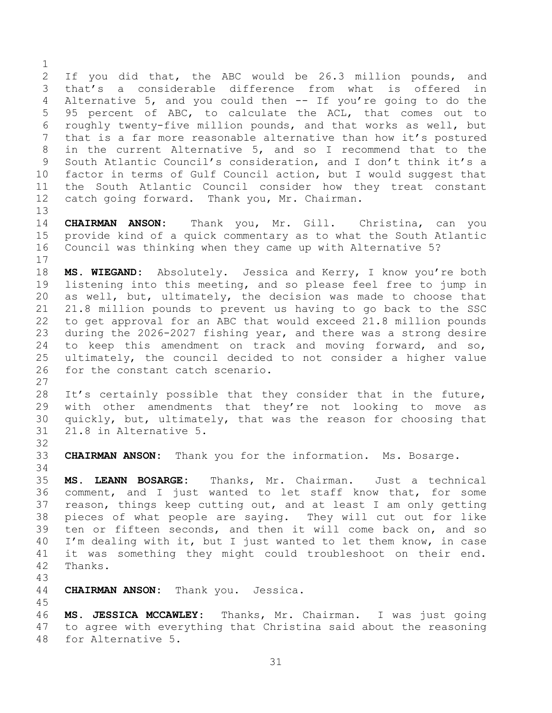$\frac{1}{2}$ 2 If you did that, the ABC would be 26.3 million pounds, and<br>3 that's a considerable difference from what is offered in 3 that's a considerable difference from what is offered<br>4 Alternative 5, and you could then -- If you're going to do t 4 Alternative 5, and you could then -- If you're going to do the<br>5 95 percent of ABC, to calculate the ACL, that comes out to 5 95 percent of ABC, to calculate the ACL, that comes out to<br>6 roughly twenty-five million pounds, and that works as well, but 6 roughly twenty-five million pounds, and that works as well, but<br>7 that is a far more reasonable alternative than how it's postured that is a far more reasonable alternative than how it's postured 8 in the current Alternative 5, and so I recommend that to the 9 South Atlantic Council's consideration, and I don't think it's a<br>10 factor in terms of Gulf Council action, but I would suggest that 10 factor in terms of Gulf Council action, but I would suggest that<br>11 the South Atlantic Council consider how they treat constant 11 the South Atlantic Council consider how they treat constant<br>12 catch going forward. Thank you, Mr. Chairman. catch going forward. Thank you, Mr. Chairman.

 $13$ <br> $14$ 14 **CHAIRMAN ANSON:** Thank you, Mr. Gill. Christina, can you<br>15 provide kind of a quick commentary as to what the South Atlantic 15 provide kind of a quick commentary as to what the South Atlantic<br>16 Council was thinking when they came up with Alternative 5? Council was thinking when they came up with Alternative 5?

 $\frac{17}{18}$ 18 **MS. WIEGAND:** Absolutely. Jessica and Kerry, I know you're both<br>19 listening into this meeting, and so please feel free to jump in 19 listening into this meeting, and so please feel free to jump in<br>20 as well, but, ultimately, the decision was made to choose that 20 as well, but, ultimately, the decision was made to choose that<br>21 21.8 million pounds to prevent us having to go back to the SSC 21 21.8 million pounds to prevent us having to go back to the SSC<br>22 to get approval for an ABC that would exceed 21.8 million pounds 22 to get approval for an ABC that would exceed 21.8 million pounds<br>23 during the 2026-2027 fishing year, and there was a strong desire 23 during the 2026-2027 fishing year, and there was a strong desire<br>24 to keep this amendment on track and moving forward, and so, 24 to keep this amendment on track and moving forward, and so,<br>25 ultimately, the council decided to not consider a higher value 25 ultimately, the council decided to not consider a higher value<br>26 for the constant catch scenario. for the constant catch scenario.

 $\frac{27}{28}$ 28 It's certainly possible that they consider that in the future,<br>29 with other amendments that they're not looking to move as 29 with other amendments that they're not looking to move as<br>30 quickly, but, ultimately, that was the reason for choosing that 30 quickly, but, ultimately, that was the reason for choosing that<br>31 21.8 in Alternative 5. 31 21.8 in Alternative 5.

32<br>33 33 **CHAIRMAN ANSON:** Thank you for the information. Ms. Bosarge.

34<br>35 35 **MS. LEANN BOSARGE:** Thanks, Mr. Chairman. Just a technical 36 comment, and I just wanted to let staff know that, for some<br>37 reason, things keep cutting out, and at least I am only getting 37 reason, things keep cutting out, and at least I am only getting<br>38 pieces of what people are saving. They will cut out for like 38 pieces of what people are saying. They will cut out for like<br>39 ten or fifteen seconds, and then it will come back on, and so ten or fifteen seconds, and then it will come back on, and so 40 I'm dealing with it, but I just wanted to let them know, in case 41 it was something they might could troubleshoot on their end.<br>42 Thanks. Thanks.

43

CHAIRMAN ANSON: Thank you. Jessica.

45 **MS. JESSICA MCCAWLEY:** Thanks, Mr. Chairman. I was just going to agree with everything that Christina said about the reasoning for Alternative 5.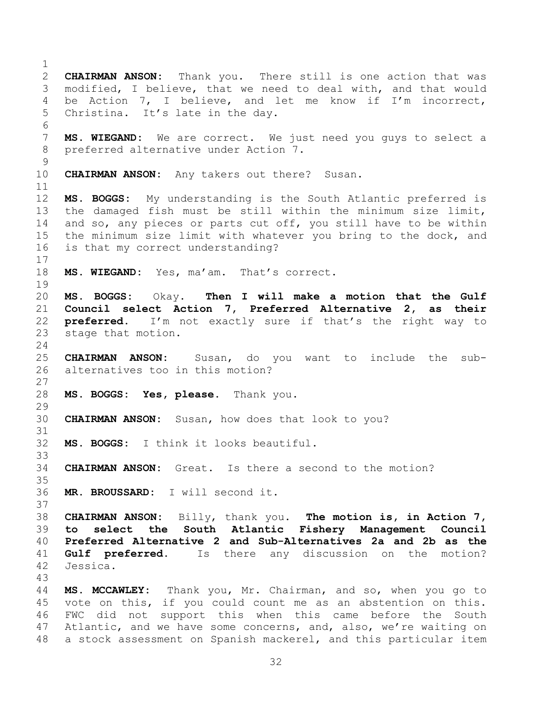<span id="page-31-0"></span> $\frac{1}{2}$ 2 **CHAIRMAN ANSON:** Thank you. There still is one action that was 3 modified, I believe, that we need to deal with, and that would<br>4 be Action 7, I believe, and let me know if I'm incorrect, 4 be Action 7, I believe, and let me know if I'm incorrect,<br>5 Christina. It's late in the day. Christina. It's late in the day. 6<br>7 MS. WIEGAND: We are correct. We just need you guys to select a 8 preferred alternative under Action 7.  $\begin{array}{c} 9 \\ 10 \end{array}$ **CHAIRMAN ANSON:** Any takers out there? Susan. 11<br>12 12 **MS. BOGGS:** My understanding is the South Atlantic preferred is 13 the damaged fish must be still within the minimum size limit,<br>14 and so, any pieces or parts cut off, you still have to be within 14 and so, any pieces or parts cut off, you still have to be within<br>15 the minimum size limit with whatever you bring to the dock, and the minimum size limit with whatever you bring to the dock, and 16 is that my correct understanding?  $\frac{17}{18}$ MS. WIEGAND: Yes, ma'am. That's correct. 19<br>20 20 **MS. BOGGS:** Okay. **Then I will make a motion that the Gulf**  21 **Council select Action 7, Preferred Alternative 2, as their**<br>22 **preferred.** I'm not exactly sure if that's the right way to 22 **preferred.** I'm not exactly sure if that's the right way to stage that motion. stage that motion.  $\frac{24}{25}$ 25 **CHAIRMAN ANSON:** Susan, do you want to include the subalternatives too in this motion?  $\frac{27}{28}$ 28 **MS. BOGGS: Yes, please.** Thank you.  $\frac{29}{30}$ CHAIRMAN ANSON: Susan, how does that look to you? 31 32 **MS. BOGGS:** I think it looks beautiful. 33<br>34 **CHAIRMAN ANSON:** Great. Is there a second to the motion?  $35$ <br> $36$ MR. BROUSSARD: I will second it. 37<br>38 38 **CHAIRMAN ANSON:** Billy, thank you. **The motion is, in Action 7,**  to select the South Atlantic Fishery Management 40 **Preferred Alternative 2 and Sub-Alternatives 2a and 2b as the**  41 **Gulf preferred.** Is there any discussion on the motion?<br>42 Jessica. Jessica. 43 44 **MS. MCCAWLEY:** Thank you, Mr. Chairman, and so, when you go to 45 vote on this, if you could count me as an abstention on this.<br>46 FWC did not support this when this came before the South 46 FWC did not support this when this came before the South<br>47 Atlantic, and we have some concerns, and, also, we're waiting on Atlantic, and we have some concerns, and, also, we're waiting on 48 a stock assessment on Spanish mackerel, and this particular item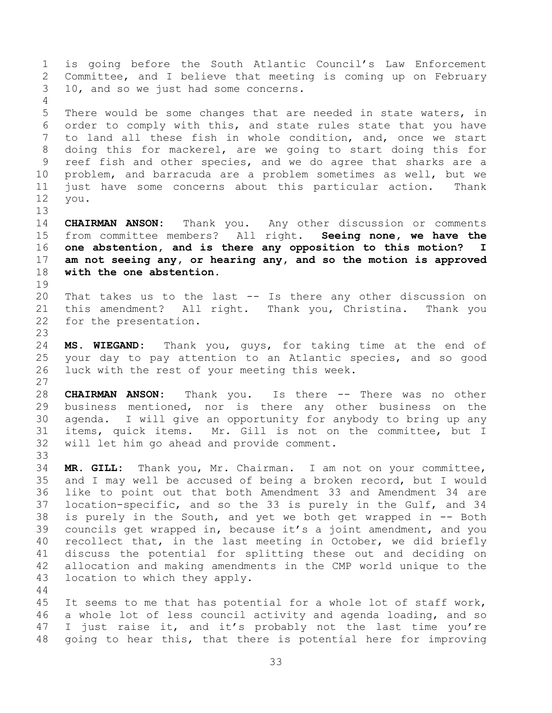<span id="page-32-0"></span>1 is going before the South Atlantic Council's Law Enforcement<br>2 Committee, and I believe that meeting is coming up on February 2 Committee, and I believe that meeting is coming up on February<br>3 10, and so we just had some concerns. 10, and so we just had some concerns.  $\frac{4}{5}$ 5 There would be some changes that are needed in state waters, in<br>6 order to comply with this, and state rules state that you have 6 order to comply with this, and state rules state that you have<br>7 to land all these fish in whole condition, and, once we start to land all these fish in whole condition, and, once we start 8 doing this for mackerel, are we going to start doing this for 9 reef fish and other species, and we do agree that sharks are a<br>10 problem, and barracuda are a problem sometimes as well, but we 10 problem, and barracuda are a problem sometimes as well, but we<br>11 just have some concerns about this particular action. Thank 11 just have some concerns about this particular action. Thank<br>12 you. 12 you. 13<br>14 14 **CHAIRMAN ANSON:** Thank you. Any other discussion or comments<br>15 from committee members? All right. **Seeing none, we have the** 15 from committee members? All right. **Seeing none, we have the**  one abstention, and is there any opposition to this motion? I 17 **am not seeing any, or hearing any, and so the motion is approved**  with the one abstention. 19<br>20 20 That takes us to the last -- Is there any other discussion on<br>21 this amendment? All right. Thank you, Christina. Thank you 21 this amendment? All right. Thank you, Christina. Thank you<br>22 for the presentation. for the presentation.  $\frac{23}{24}$ 24 **MS. WIEGAND:** Thank you, guys, for taking time at the end of 25 your day to pay attention to an Atlantic species, and so good<br>26 luck with the rest of your meeting this week. luck with the rest of your meeting this week.  $\frac{27}{28}$ 28 **CHAIRMAN ANSON:** Thank you. Is there -- There was no other<br>29 business mentioned, nor is there any other business on the 29 business mentioned, nor is there any other business on the<br>30 agenda. I will give an opportunity for anybody to bring up any 30 agenda. I will give an opportunity for anybody to bring up any<br>31 items, quick items. Mr. Gill is not on the committee, but I Mr. Gill is not on the committee, but I 32 will let him go ahead and provide comment. 33<br>34 34 **MR. GILL:** Thank you, Mr. Chairman. I am not on your committee, 35 and I may well be accused of being a broken record, but I would<br>36 like to point out that both Amendment 33 and Amendment 34 are 36 like to point out that both Amendment 33 and Amendment 34 are<br>37 location-specific, and so the 33 is purely in the Gulf, and 34 37 location-specific, and so the 33 is purely in the Gulf, and 34<br>38 is purely in the South, and yet we both get wrapped in -- Both 38 is purely in the South, and yet we both get wrapped in -- Both<br>39 councils get wrapped in, because it's a joint amendment, and you councils get wrapped in, because it's a joint amendment, and you 40 recollect that, in the last meeting in October, we did briefly 41 discuss the potential for splitting these out and deciding on<br>42 allocation and making amendments in the CMP world unique to the 42 allocation and making amendments in the CMP world unique to the 43 location to which they apply. location to which they apply.  $\begin{array}{c} 44 \\ 45 \end{array}$ 45 It seems to me that has potential for a whole lot of staff work,<br>46 a whole lot of less council activity and agenda loading, and so

46 a whole lot of less council activity and agenda loading, and so<br>47 I just raise it, and it's probably not the last time you're I just raise it, and it's probably not the last time you're 48 going to hear this, that there is potential here for improving